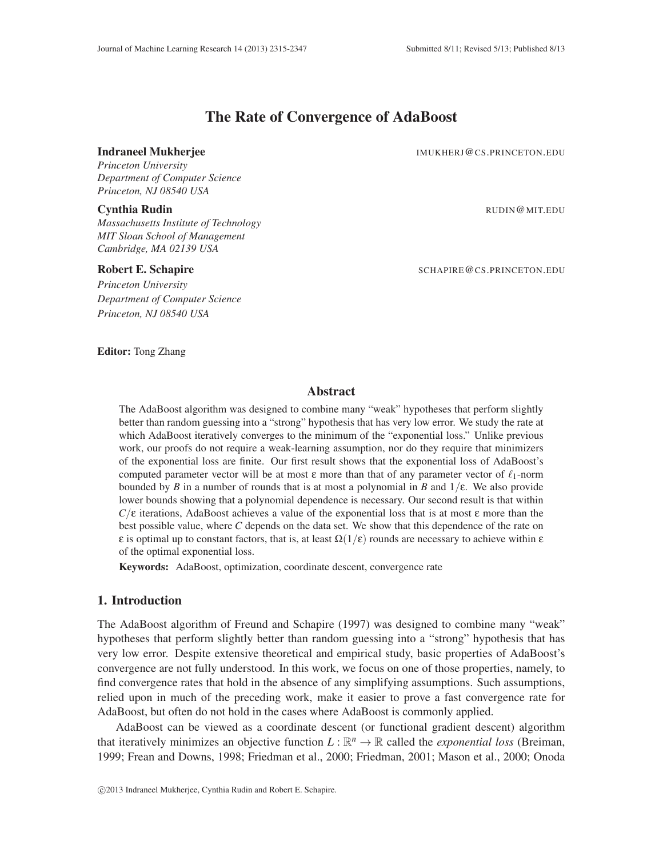# The Rate of Convergence of AdaBoost

#### **Indraneel Mukherjee IMUKHERJ@CS.PRINCETON.EDU**

*Princeton University Department of Computer Science Princeton, NJ 08540 USA*

*Massachusetts Institute of Technology MIT Sloan School of Management Cambridge, MA 02139 USA*

*Princeton University Department of Computer Science Princeton, NJ 08540 USA*

**Cynthia Rudin** Rubin Rubin Rubin Rubin Rubin Rubin Rubin Rubin Rubin Rubin Rubin Rubin Rubin Rubin Rubin Rubin Ru

Robert E. Schapire SCHAPIRE & SCHAPIRE & CS.PRINCETON.EDU

Editor: Tong Zhang

## Abstract

The AdaBoost algorithm was designed to combine many "weak" hypotheses that perform slightly better than random guessing into a "strong" hypothesis that has very low error. We study the rate at which AdaBoost iteratively converges to the minimum of the "exponential loss." Unlike previous work, our proofs do not require a weak-learning assumption, nor do they require that minimizers of the exponential loss are finite. Our first result shows that the exponential loss of AdaBoost's computed parameter vector will be at most  $\varepsilon$  more than that of any parameter vector of  $\ell_1$ -norm bounded by *B* in a number of rounds that is at most a polynomial in *B* and  $1/\epsilon$ . We also provide lower bounds showing that a polynomial dependence is necessary. Our second result is that within  $C/\varepsilon$  iterations, AdaBoost achieves a value of the exponential loss that is at most  $\varepsilon$  more than the best possible value, where *C* depends on the data set. We show that this dependence of the rate on ε is optimal up to constant factors, that is, at least  $\Omega(1/\epsilon)$  rounds are necessary to achieve within ε of the optimal exponential loss.

Keywords: AdaBoost, optimization, coordinate descent, convergence rate

## 1. Introduction

The AdaBoost algorithm of Freund and Schapire (1997) was designed to combine many "weak" hypotheses that perform slightly better than random guessing into a "strong" hypothesis that has very low error. Despite extensive theoretical and empirical study, basic properties of AdaBoost's convergence are not fully understood. In this work, we focus on one of those properties, namely, to find convergence rates that hold in the absence of any simplifying assumptions. Such assumptions, relied upon in much of the preceding work, make it easier to prove a fast convergence rate for AdaBoost, but often do not hold in the cases where AdaBoost is commonly applied.

AdaBoost can be viewed as a coordinate descent (or functional gradient descent) algorithm that iteratively minimizes an objective function  $L : \mathbb{R}^n \to \mathbb{R}$  called the *exponential loss* (Breiman, 1999; Frean and Downs, 1998; Friedman et al., 2000; Friedman, 2001; Mason et al., 2000; Onoda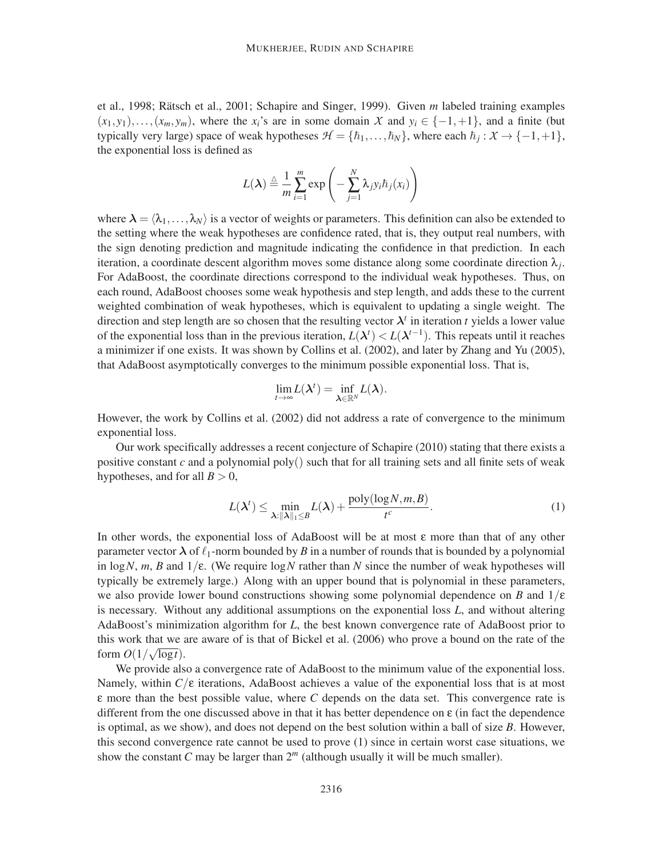et al., 1998; Rätsch et al., 2001; Schapire and Singer, 1999). Given m labeled training examples  $(x_1, y_1), \ldots, (x_m, y_m)$ , where the  $x_i$ 's are in some domain X and  $y_i \in \{-1, +1\}$ , and a finite (but typically very large) space of weak hypotheses  $H = \{\hbar_1, \ldots, \hbar_N\}$ , where each  $\hbar_j : X \to \{-1, +1\}$ , the exponential loss is defined as

$$
L(\lambda) \stackrel{\triangle}{=} \frac{1}{m} \sum_{i=1}^{m} \exp \left(-\sum_{j=1}^{N} \lambda_j y_i \hbar_j(x_i)\right)
$$

where  $\lambda = \langle \lambda_1, \ldots, \lambda_N \rangle$  is a vector of weights or parameters. This definition can also be extended to the setting where the weak hypotheses are confidence rated, that is, they output real numbers, with the sign denoting prediction and magnitude indicating the confidence in that prediction. In each iteration, a coordinate descent algorithm moves some distance along some coordinate direction λ*<sup>j</sup>* . For AdaBoost, the coordinate directions correspond to the individual weak hypotheses. Thus, on each round, AdaBoost chooses some weak hypothesis and step length, and adds these to the current weighted combination of weak hypotheses, which is equivalent to updating a single weight. The direction and step length are so chosen that the resulting vector  $\lambda^t$  in iteration *t* yields a lower value of the exponential loss than in the previous iteration,  $L(\lambda^t) < L(\lambda^{t-1})$ . This repeats until it reaches a minimizer if one exists. It was shown by Collins et al. (2002), and later by Zhang and Yu (2005), that AdaBoost asymptotically converges to the minimum possible exponential loss. That is,

$$
\lim_{t\to\infty}L(\boldsymbol{\lambda}^t)=\inf_{\boldsymbol{\lambda}\in\mathbb{R}^N}L(\boldsymbol{\lambda}).
$$

However, the work by Collins et al. (2002) did not address a rate of convergence to the minimum exponential loss.

Our work specifically addresses a recent conjecture of Schapire (2010) stating that there exists a positive constant  $c$  and a polynomial poly() such that for all training sets and all finite sets of weak hypotheses, and for all  $B > 0$ ,

$$
L(\lambda^t) \le \min_{\lambda: \|\lambda\|_1 \le B} L(\lambda) + \frac{\text{poly}(\log N, m, B)}{t^c}.
$$
 (1)

In other words, the exponential loss of AdaBoost will be at most  $\varepsilon$  more than that of any other parameter vector  $\lambda$  of  $\ell_1$ -norm bounded by *B* in a number of rounds that is bounded by a polynomial in  $\log N$ , *m*, *B* and  $1/\epsilon$ . (We require  $\log N$  rather than *N* since the number of weak hypotheses will typically be extremely large.) Along with an upper bound that is polynomial in these parameters, we also provide lower bound constructions showing some polynomial dependence on *B* and  $1/\varepsilon$ is necessary. Without any additional assumptions on the exponential loss *L*, and without altering AdaBoost's minimization algorithm for *L*, the best known convergence rate of AdaBoost prior to this work that we are aware of is that of Bickel et al. (2006) who prove a bound on the rate of the form  $O(1/\sqrt{\log t})$ .

We provide also a convergence rate of AdaBoost to the minimum value of the exponential loss. Namely, within  $C/\varepsilon$  iterations, AdaBoost achieves a value of the exponential loss that is at most ε more than the best possible value, where *C* depends on the data set. This convergence rate is different from the one discussed above in that it has better dependence on  $\epsilon$  (in fact the dependence is optimal, as we show), and does not depend on the best solution within a ball of size *B*. However, this second convergence rate cannot be used to prove (1) since in certain worst case situations, we show the constant *C* may be larger than  $2<sup>m</sup>$  (although usually it will be much smaller).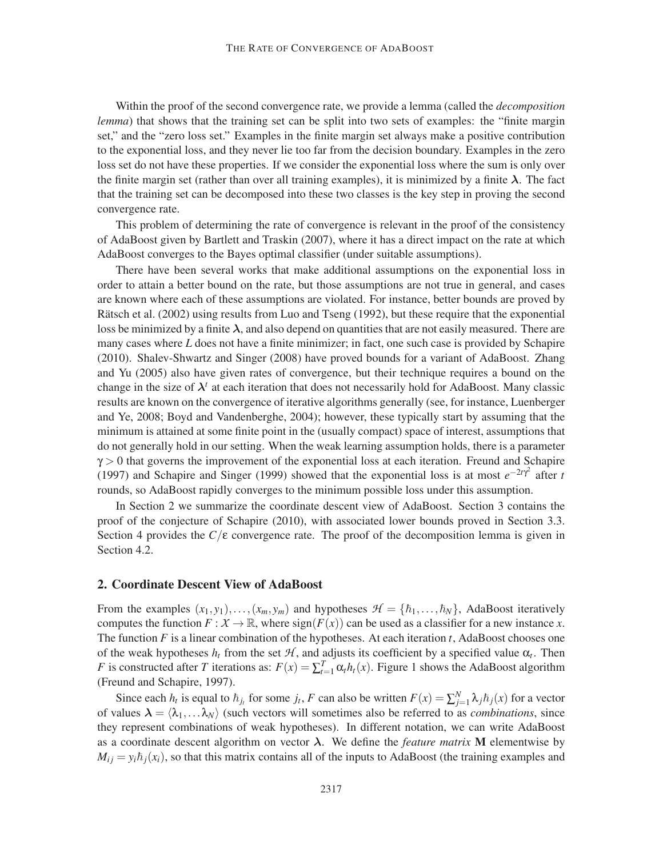Within the proof of the second convergence rate, we provide a lemma (called the *decomposition lemma*) that shows that the training set can be split into two sets of examples: the "finite margin set," and the "zero loss set." Examples in the finite margin set always make a positive contribution to the exponential loss, and they never lie too far from the decision boundary. Examples in the zero loss set do not have these properties. If we consider the exponential loss where the sum is only over the finite margin set (rather than over all training examples), it is minimized by a finite  $\lambda$ . The fact that the training set can be decomposed into these two classes is the key step in proving the second convergence rate.

This problem of determining the rate of convergence is relevant in the proof of the consistency of AdaBoost given by Bartlett and Traskin (2007), where it has a direct impact on the rate at which AdaBoost converges to the Bayes optimal classifier (under suitable assumptions).

There have been several works that make additional assumptions on the exponential loss in order to attain a better bound on the rate, but those assumptions are not true in general, and cases are known where each of these assumptions are violated. For instance, better bounds are proved by Rätsch et al. (2002) using results from Luo and Tseng (1992), but these require that the exponential loss be minimized by a finite  $\lambda$ , and also depend on quantities that are not easily measured. There are many cases where *L* does not have a finite minimizer; in fact, one such case is provided by Schapire (2010). Shalev-Shwartz and Singer (2008) have proved bounds for a variant of AdaBoost. Zhang and Yu (2005) also have given rates of convergence, but their technique requires a bound on the change in the size of  $\lambda^t$  at each iteration that does not necessarily hold for AdaBoost. Many classic results are known on the convergence of iterative algorithms generally (see, for instance, Luenberger and Ye, 2008; Boyd and Vandenberghe, 2004); however, these typically start by assuming that the minimum is attained at some finite point in the (usually compact) space of interest, assumptions that do not generally hold in our setting. When the weak learning assumption holds, there is a parameter  $\gamma$  > 0 that governs the improvement of the exponential loss at each iteration. Freund and Schapire (1997) and Schapire and Singer (1999) showed that the exponential loss is at most  $e^{-2t\gamma^2}$  after *t* rounds, so AdaBoost rapidly converges to the minimum possible loss under this assumption.

In Section 2 we summarize the coordinate descent view of AdaBoost. Section 3 contains the proof of the conjecture of Schapire (2010), with associated lower bounds proved in Section 3.3. Section 4 provides the  $C/\varepsilon$  convergence rate. The proof of the decomposition lemma is given in Section 4.2.

### 2. Coordinate Descent View of AdaBoost

From the examples  $(x_1, y_1), \ldots, (x_m, y_m)$  and hypotheses  $\mathcal{H} = \{\hbar_1, \ldots, \hbar_N\}$ , AdaBoost iteratively computes the function  $F: \mathcal{X} \to \mathbb{R}$ , where  $sign(F(x))$  can be used as a classifier for a new instance *x*. The function *F* is a linear combination of the hypotheses. At each iteration *t*, AdaBoost chooses one of the weak hypotheses  $h_t$  from the set  $H$ , and adjusts its coefficient by a specified value  $\alpha_t$ . Then *F* is constructed after *T* iterations as:  $F(x) = \sum_{t=1}^{T} \alpha_t h_t(x)$ . Figure 1 shows the AdaBoost algorithm (Freund and Schapire, 1997).

Since each  $h_t$  is equal to  $\bar{h}_{j_t}$  for some  $j_t$ , *F* can also be written  $F(x) = \sum_{j=1}^{N} \lambda_j \bar{h}_j(x)$  for a vector of values  $\lambda = \langle \lambda_1, \ldots \lambda_N \rangle$  (such vectors will sometimes also be referred to as *combinations*, since they represent combinations of weak hypotheses). In different notation, we can write AdaBoost as a coordinate descent algorithm on vector  $\lambda$ . We define the *feature matrix* **M** elementwise by  $M_{ij} = y_i \hbar_i(x_i)$ , so that this matrix contains all of the inputs to AdaBoost (the training examples and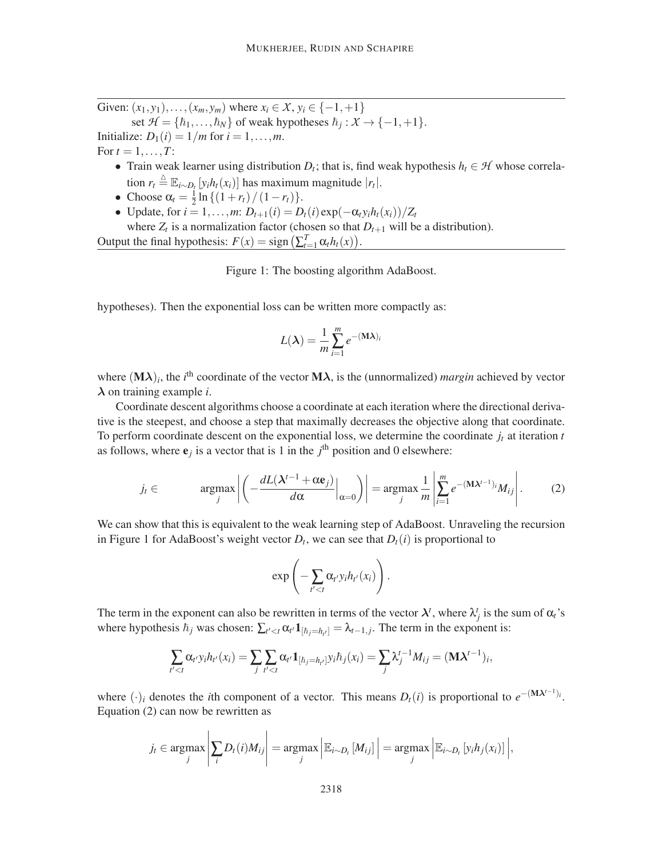Given:  $(x_1, y_1), \ldots, (x_m, y_m)$  where  $x_i \in \mathcal{X}, y_i \in \{-1, +1\}$ 

set  $H = \{\hbar_1, ..., \hbar_N\}$  of weak hypotheses  $\hbar_j : X \to \{-1, +1\}.$ Initialize:  $D_1(i) = 1/m$  for  $i = 1, \ldots, m$ . For  $t = 1, ..., T$ :

- Train weak learner using distribution  $D_t$ ; that is, find weak hypothesis  $h_t \in \mathcal{H}$  whose correlation  $r_t \triangleq \mathbb{E}_{i \sim D_t} [y_i h_t(x_i)]$  has maximum magnitude  $|r_t|$ .
- Choose  $\alpha_t = \frac{1}{2}$  $\frac{1}{2} \ln \{(1+r_t)/(1-r_t)\}.$

 $\mathbf{r}$ 

 $\overline{1}$ 

 $\bullet$  Update, for *i* = 1,...,*m*: *D*<sub>*t*+1</sub>(*i*) = *D*<sub>*t*</sub>(*i*) exp(−α<sub>*t*</sub>*y*<sub>*i*</sub>*h*<sub>*t*</sub>(*x*<sub>*i*</sub>))/*Z*<sub>*t*</sub> where  $Z_t$  is a normalization factor (chosen so that  $D_{t+1}$  will be a distribution). Output the final hypothesis:  $F(x) = sign\left(\sum_{t=1}^{T} \alpha_t h_t(x)\right)$ .

Figure 1: The boosting algorithm AdaBoost.

hypotheses). Then the exponential loss can be written more compactly as:

$$
L(\lambda) = \frac{1}{m} \sum_{i=1}^{m} e^{-(\mathbf{M}\lambda)i}
$$

where  $(M\lambda)_i$ , the *i*<sup>th</sup> coordinate of the vector  $M\lambda$ , is the (unnormalized) *margin* achieved by vector λ on training example *i*.

Coordinate descent algorithms choose a coordinate at each iteration where the directional derivative is the steepest, and choose a step that maximally decreases the objective along that coordinate. To perform coordinate descent on the exponential loss, we determine the coordinate  $j_t$  at iteration  $t$ as follows, where  $e_j$  is a vector that is 1 in the  $j<sup>th</sup>$  position and 0 elsewhere:

$$
j_t \in \operatorname{argmax}_j \left| \left( -\frac{dL(\lambda^{t-1} + \alpha \mathbf{e}_j)}{d\alpha} \Big|_{\alpha=0} \right) \right| = \operatorname{argmax}_j \frac{1}{m} \left| \sum_{i=1}^m e^{-(\mathbf{M}\lambda^{t-1})_i} M_{ij} \right|.
$$
 (2)

We can show that this is equivalent to the weak learning step of AdaBoost. Unraveling the recursion in Figure 1 for AdaBoost's weight vector  $D_t$ , we can see that  $D_t(i)$  is proportional to

$$
\exp\left(-\sum_{t'
$$

The term in the exponent can also be rewritten in terms of the vector  $\lambda^t$ , where  $\lambda^t_j$  is the sum of  $\alpha_t$ 's where hypothesis  $\hbar_j$  was chosen:  $\sum_{t' < t} \alpha_{t'} \mathbf{1}_{[\hbar_j = \hbar_{t'}]} = \lambda_{t-1,j}$ . The term in the exponent is:

$$
\sum_{t' < t} \alpha_{t'} y_i h_{t'}(x_i) = \sum_j \sum_{t' < t} \alpha_{t'} \mathbf{1}_{[\hbar_j = \hbar_{t'}]} y_i \hbar_j(x_i) = \sum_j \lambda_j^{t-1} M_{ij} = (\mathbf{M} \lambda^{t-1})_i,
$$

where  $(\cdot)_i$  denotes the *i*th component of a vector. This means  $D_t(i)$  is proportional to  $e^{-(\mathbf{M}\lambda^{t-1})_i}$ . Equation (2) can now be rewritten as

$$
j_t \in \underset{j}{\text{argmax}} \left| \sum_i D_i(i) M_{ij} \right| = \underset{j}{\text{argmax}} \left| \mathbb{E}_{i \sim D_t} \left[ M_{ij} \right] \right| = \underset{j}{\text{argmax}} \left| \mathbb{E}_{i \sim D_t} \left[ y_i h_j(x_i) \right] \right|,
$$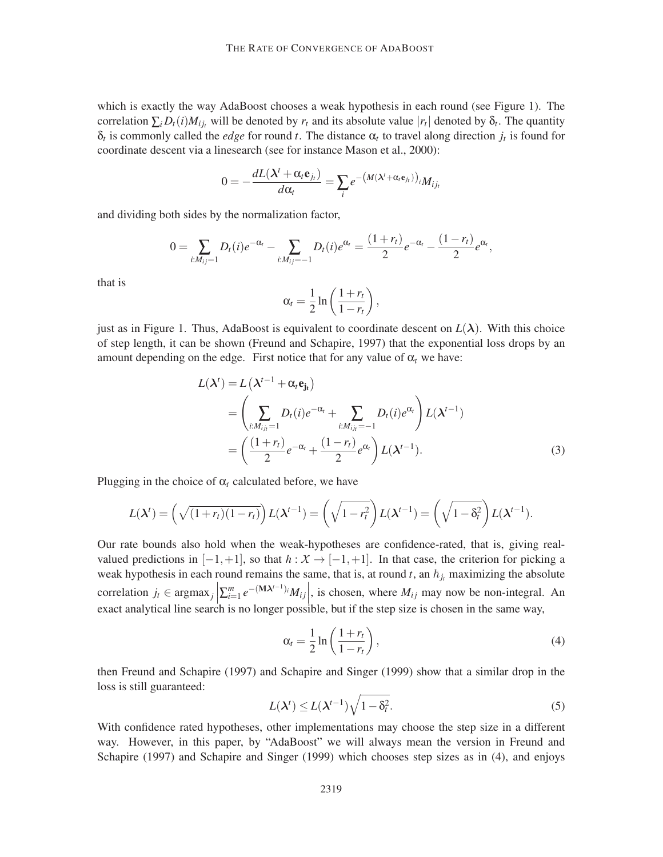which is exactly the way AdaBoost chooses a weak hypothesis in each round (see Figure 1). The correlation  $\sum_i D_i(i)M_{ij}$  will be denoted by  $r_t$  and its absolute value  $|r_t|$  denoted by  $\delta_t$ . The quantity  $\delta_t$  is commonly called the *edge* for round *t*. The distance  $\alpha_t$  to travel along direction  $j_t$  is found for coordinate descent via a linesearch (see for instance Mason et al., 2000):

$$
0 = -\frac{dL(\lambda^t + \alpha_t \mathbf{e}_{j_t})}{d\alpha_t} = \sum_i e^{-\left(M(\lambda^t + \alpha_t \mathbf{e}_{j_t})\right)_{i}} M_{i j_t}
$$

and dividing both sides by the normalization factor,

$$
0 = \sum_{i:M_{ij}=1} D_t(i)e^{-\alpha_t} - \sum_{i:M_{ij}=-1} D_t(i)e^{\alpha_t} = \frac{(1+r_t)}{2}e^{-\alpha_t} - \frac{(1-r_t)}{2}e^{\alpha_t},
$$

that is

$$
\alpha_t = \frac{1}{2} \ln \left( \frac{1 + r_t}{1 - r_t} \right),
$$

just as in Figure 1. Thus, AdaBoost is equivalent to coordinate descent on  $L(\lambda)$ . With this choice of step length, it can be shown (Freund and Schapire, 1997) that the exponential loss drops by an amount depending on the edge. First notice that for any value of  $\alpha_t$  we have:

$$
L(\lambda^{t}) = L(\lambda^{t-1} + \alpha_{t} \mathbf{e}_{\mathbf{j}_{t}})
$$
  
= 
$$
\left(\sum_{i:M_{ij_{t}}=1} D_{t}(i)e^{-\alpha_{t}} + \sum_{i:M_{ij_{t}}=-1} D_{t}(i)e^{\alpha_{t}}\right) L(\lambda^{t-1})
$$
  
= 
$$
\left(\frac{(1+r_{t})}{2}e^{-\alpha_{t}} + \frac{(1-r_{t})}{2}e^{\alpha_{t}}\right) L(\lambda^{t-1}).
$$
 (3)

Plugging in the choice of  $\alpha_t$  calculated before, we have

$$
L(\boldsymbol{\lambda}^t)=\left(\sqrt{(1+r_t)(1-r_t)}\right)L(\boldsymbol{\lambda}^{t-1})=\left(\sqrt{1-r_t^2}\right)L(\boldsymbol{\lambda}^{t-1})=\left(\sqrt{1-\delta_t^2}\right)L(\boldsymbol{\lambda}^{t-1}).
$$

Our rate bounds also hold when the weak-hypotheses are confidence-rated, that is, giving realvalued predictions in  $[-1, +1]$ , so that  $h : X \rightarrow [-1, +1]$ . In that case, the criterion for picking a weak hypothesis in each round remains the same, that is, at round *t*, an  $\bar{h}_{j_t}$  maximizing the absolute correlation  $j_t \in \text{argmax}_j \left| \sum_{i=1}^m e^{-(\mathbf{M} \lambda^{t-1})_i} M_{ij} \right|$ , is chosen, where  $M_{ij}$  may now be non-integral. An exact englished line according is a longer negatible, but if the star size is above in the same way. exact analytical line search is no longer possible, but if the step size is chosen in the same way,

$$
\alpha_t = \frac{1}{2} \ln \left( \frac{1 + r_t}{1 - r_t} \right),\tag{4}
$$

then Freund and Schapire (1997) and Schapire and Singer (1999) show that a similar drop in the loss is still guaranteed:

$$
L(\lambda^t) \le L(\lambda^{t-1})\sqrt{1-\delta_t^2}.
$$
 (5)

With confidence rated hypotheses, other implementations may choose the step size in a different way. However, in this paper, by "AdaBoost" we will always mean the version in Freund and Schapire (1997) and Schapire and Singer (1999) which chooses step sizes as in (4), and enjoys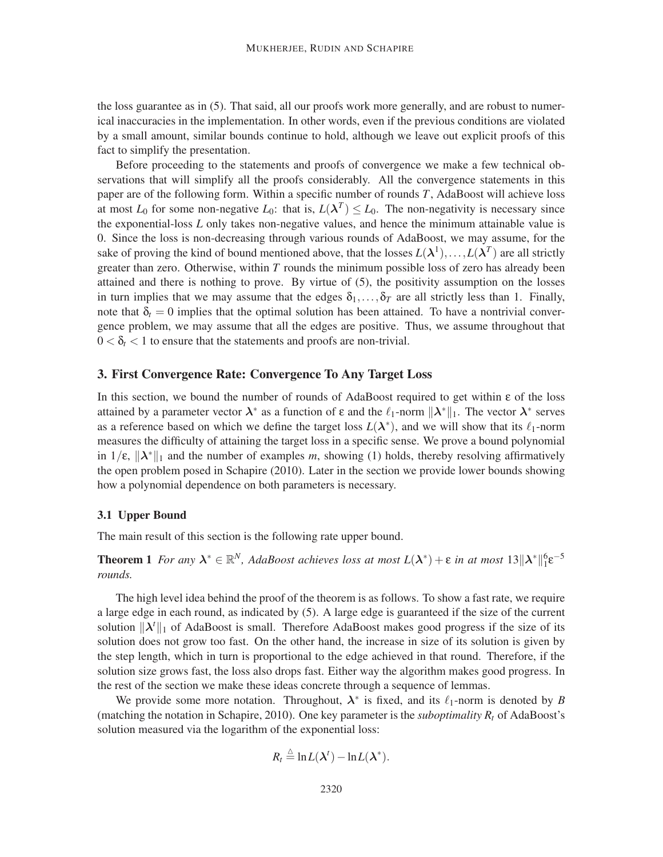the loss guarantee as in (5). That said, all our proofs work more generally, and are robust to numerical inaccuracies in the implementation. In other words, even if the previous conditions are violated by a small amount, similar bounds continue to hold, although we leave out explicit proofs of this fact to simplify the presentation.

Before proceeding to the statements and proofs of convergence we make a few technical observations that will simplify all the proofs considerably. All the convergence statements in this paper are of the following form. Within a specific number of rounds *T*, AdaBoost will achieve loss at most  $L_0$  for some non-negative  $L_0$ : that is,  $L(\lambda^T) \le L_0$ . The non-negativity is necessary since the exponential-loss *L* only takes non-negative values, and hence the minimum attainable value is 0. Since the loss is non-decreasing through various rounds of AdaBoost, we may assume, for the sake of proving the kind of bound mentioned above, that the losses  $L(\lambda^1), \ldots, L(\lambda^T)$  are all strictly greater than zero. Otherwise, within *T* rounds the minimum possible loss of zero has already been attained and there is nothing to prove. By virtue of (5), the positivity assumption on the losses in turn implies that we may assume that the edges  $\delta_1, \ldots, \delta_T$  are all strictly less than 1. Finally, note that  $\delta_t = 0$  implies that the optimal solution has been attained. To have a nontrivial convergence problem, we may assume that all the edges are positive. Thus, we assume throughout that  $0 < \delta_t < 1$  to ensure that the statements and proofs are non-trivial.

## 3. First Convergence Rate: Convergence To Any Target Loss

In this section, we bound the number of rounds of AdaBoost required to get within ε of the loss attained by a parameter vector  $\lambda^*$  as a function of  $\varepsilon$  and the  $\ell_1$ -norm  $\|\lambda^*\|_1$ . The vector  $\lambda^*$  serves as a reference based on which we define the target loss  $L(\lambda^*)$ , and we will show that its  $\ell_1$ -norm measures the difficulty of attaining the target loss in a specific sense. We prove a bound polynomial in  $1/\varepsilon$ ,  $\|\lambda^*\|_1$  and the number of examples *m*, showing (1) holds, thereby resolving affirmatively the open problem posed in Schapire (2010). Later in the section we provide lower bounds showing how a polynomial dependence on both parameters is necessary.

#### 3.1 Upper Bound

The main result of this section is the following rate upper bound.

**Theorem 1** For any  $\lambda^* \in \mathbb{R}^N$ , AdaBoost achieves loss at most  $L(\lambda^*) + \varepsilon$  in at most  $13 \|\lambda^*\|_1^6 \varepsilon^{-5}$ *rounds.*

The high level idea behind the proof of the theorem is as follows. To show a fast rate, we require a large edge in each round, as indicated by (5). A large edge is guaranteed if the size of the current solution  $\|\lambda^t\|_1$  of AdaBoost is small. Therefore AdaBoost makes good progress if the size of its solution does not grow too fast. On the other hand, the increase in size of its solution is given by the step length, which in turn is proportional to the edge achieved in that round. Therefore, if the solution size grows fast, the loss also drops fast. Either way the algorithm makes good progress. In the rest of the section we make these ideas concrete through a sequence of lemmas.

We provide some more notation. Throughout,  $\lambda^*$  is fixed, and its  $\ell_1$ -norm is denoted by *B* (matching the notation in Schapire, 2010). One key parameter is the *suboptimality R<sup>t</sup>* of AdaBoost's solution measured via the logarithm of the exponential loss:

$$
R_t \stackrel{\triangle}{=} \ln L(\boldsymbol{\lambda}^t) - \ln L(\boldsymbol{\lambda}^*).
$$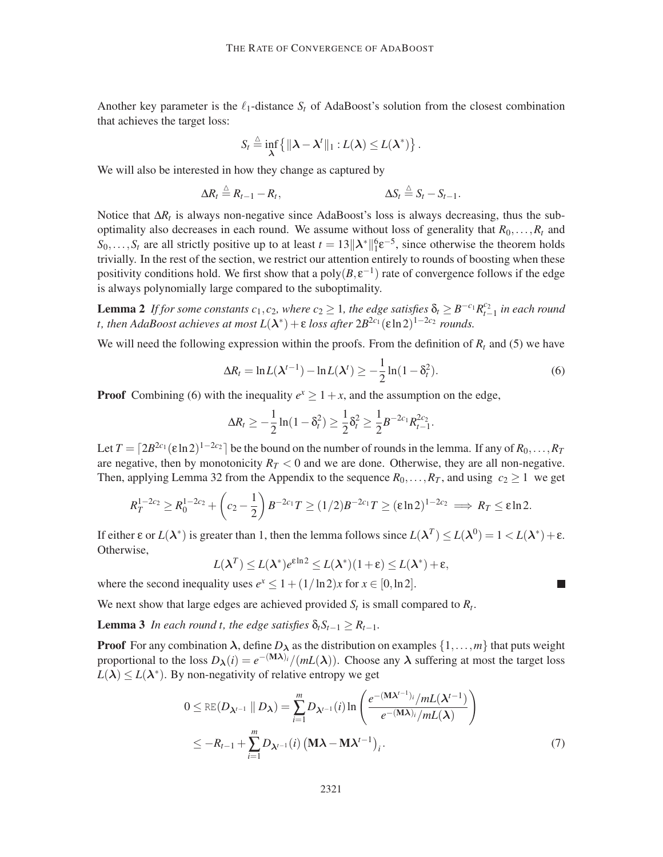Another key parameter is the  $\ell_1$ -distance  $S_t$  of AdaBoost's solution from the closest combination that achieves the target loss:

$$
S_t \stackrel{\triangle}{=} \inf_{\lambda} \left\{ \|\lambda - \lambda^t\|_1 : L(\lambda) \leq L(\lambda^*) \right\}.
$$

We will also be interested in how they change as captured by

$$
\Delta R_t \stackrel{\triangle}{=} R_{t-1} - R_t, \qquad \qquad \Delta S_t \stackrel{\triangle}{=} S_t - S_{t-1}.
$$

Notice that Δ*R*<sup>*t*</sup> is always non-negative since AdaBoost's loss is always decreasing, thus the suboptimality also decreases in each round. We assume without loss of generality that  $R_0, \ldots, R_t$  and  $S_0, \ldots, S_t$  are all strictly positive up to at least  $t = 13||\lambda^*||_1^6 e^{-5}$ , since otherwise the theorem holds trivially. In the rest of the section, we restrict our attention entirely to rounds of boosting when these positivity conditions hold. We first show that a poly $(B, \varepsilon^{-1})$  rate of convergence follows if the edge is always polynomially large compared to the suboptimality.

**Lemma 2** *If for some constants*  $c_1$ ,  $c_2$ , where  $c_2 \geq 1$ , the edge satisfies  $\delta_t \geq B^{-c_1} R_t^{c_2}$ *t*−1 *in each round t, then AdaBoost achieves at most*  $L(\lambda^*) + \varepsilon$  *loss after*  $2B^{2c_1}(\varepsilon \ln 2)^{1-2c_2}$  *rounds.* 

We will need the following expression within the proofs. From the definition of  $R_t$  and (5) we have

$$
\Delta R_t = \ln L(\lambda^{t-1}) - \ln L(\lambda^t) \ge -\frac{1}{2}\ln(1-\delta_t^2). \tag{6}
$$

 $\blacksquare$ 

**Proof** Combining (6) with the inequality  $e^x \ge 1 + x$ , and the assumption on the edge,

$$
\Delta R_t \geq -\frac{1}{2}\ln(1-\delta_t^2) \geq \frac{1}{2}\delta_t^2 \geq \frac{1}{2}B^{-2c_1}R_{t-1}^{2c_2}.
$$

Let  $T = \lceil 2B^{2c_1}(\varepsilon \ln 2)^{1-2c_2} \rceil$  be the bound on the number of rounds in the lemma. If any of  $R_0, \ldots, R_T$ are negative, then by monotonicity  $R_T < 0$  and we are done. Otherwise, they are all non-negative. Then, applying Lemma 32 from the Appendix to the sequence  $R_0, \ldots, R_T$ , and using  $c_2 \geq 1$  we get

$$
R_T^{1-2c_2} \ge R_0^{1-2c_2} + \left(c_2 - \frac{1}{2}\right)B^{-2c_1}T \ge (1/2)B^{-2c_1}T \ge (\epsilon \ln 2)^{1-2c_2} \implies R_T \le \epsilon \ln 2.
$$

If either ε or  $L(\lambda^*)$  is greater than 1, then the lemma follows since  $L(\lambda^T) \le L(\lambda^0) = 1 < L(\lambda^*) + \varepsilon$ . Otherwise,

$$
L(\boldsymbol{\lambda}^T) \leq L(\boldsymbol{\lambda}^*)e^{\epsilon \ln 2} \leq L(\boldsymbol{\lambda}^*)(1+\epsilon) \leq L(\boldsymbol{\lambda}^*)+\epsilon,
$$

where the second inequality uses  $e^x \leq 1 + (1/\ln 2)x$  for  $x \in [0, \ln 2]$ .

We next show that large edges are achieved provided  $S_t$  is small compared to  $R_t$ .

**Lemma 3** *In each round t, the edge satisfies*  $\delta_t S_{t-1} \geq R_{t-1}$ *.* 

**Proof** For any combination  $\lambda$ , define  $D_{\lambda}$  as the distribution on examples  $\{1,\ldots,m\}$  that puts weight proportional to the loss  $D_{\lambda}(i) = e^{-(\mathbf{M}\lambda)_i}/(mL(\lambda))$ . Choose any  $\lambda$  suffering at most the target loss  $L(\lambda) \le L(\lambda^*)$ . By non-negativity of relative entropy we get

$$
0 \leq \text{RE}(D_{\lambda^{t-1}} \parallel D_{\lambda}) = \sum_{i=1}^{m} D_{\lambda^{t-1}}(i) \ln \left( \frac{e^{-(\mathbf{M}\lambda^{t-1})i} / mL(\lambda^{t-1})}{e^{-(\mathbf{M}\lambda)_i} / mL(\lambda)} \right)
$$
  
 
$$
\leq -R_{t-1} + \sum_{i=1}^{m} D_{\lambda^{t-1}}(i) \left( \mathbf{M}\lambda - \mathbf{M}\lambda^{t-1} \right)_i.
$$
 (7)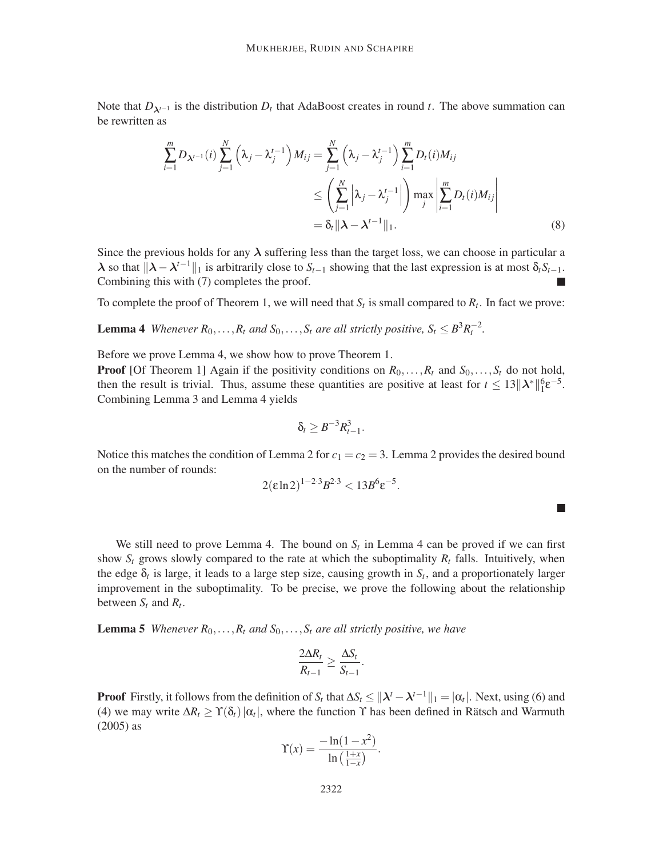Note that  $D_{\lambda^{t-1}}$  is the distribution  $D_t$  that AdaBoost creates in round *t*. The above summation can be rewritten as

$$
\sum_{i=1}^{m} D_{\lambda^{t-1}}(i) \sum_{j=1}^{N} \left(\lambda_j - \lambda_j^{t-1}\right) M_{ij} = \sum_{j=1}^{N} \left(\lambda_j - \lambda_j^{t-1}\right) \sum_{i=1}^{m} D_t(i) M_{ij}
$$
\n
$$
\leq \left(\sum_{j=1}^{N} \left|\lambda_j - \lambda_j^{t-1}\right|\right) \max_{j} \left|\sum_{i=1}^{m} D_t(i) M_{ij}\right|
$$
\n
$$
= \delta_t \|\lambda - \lambda^{t-1}\|_1. \tag{8}
$$

Since the previous holds for any  $\lambda$  suffering less than the target loss, we can choose in particular a  $λ$  so that  $\|λ – λ<sup>t-1</sup>\|_1$  is arbitrarily close to *S*<sub>*t*−1</sub> showing that the last expression is at most δ<sub>*t*</sub>*S*<sub>*t*−1</sub>. Combining this with (7) completes the proof.

To complete the proof of Theorem 1, we will need that  $S_t$  is small compared to  $R_t$ . In fact we prove:

**Lemma 4** *Whenever*  $R_0, \ldots, R_t$  *and*  $S_0, \ldots, S_t$  *are all strictly positive,*  $S_t \leq B^3 R_t^{-2}$ *.* 

Before we prove Lemma 4, we show how to prove Theorem 1.

**Proof** [Of Theorem 1] Again if the positivity conditions on  $R_0, \ldots, R_t$  and  $S_0, \ldots, S_t$  do not hold, then the result is trivial. Thus, assume these quantities are positive at least for  $t \leq 13||\lambda^*||_1^6 e^{-5}$ . Combining Lemma 3 and Lemma 4 yields

$$
\delta_t \geq B^{-3} R_{t-1}^3
$$

.

Notice this matches the condition of Lemma 2 for  $c_1 = c_2 = 3$ . Lemma 2 provides the desired bound on the number of rounds:

$$
2(\varepsilon \ln 2)^{1-2\cdot 3} B^{2\cdot 3} < 13 B^6 \varepsilon^{-5}.
$$

 $\Box$ 

We still need to prove Lemma 4. The bound on  $S_t$  in Lemma 4 can be proved if we can first show  $S_t$  grows slowly compared to the rate at which the suboptimality  $R_t$  falls. Intuitively, when the edge  $\delta_t$  is large, it leads to a large step size, causing growth in  $S_t$ , and a proportionately larger improvement in the suboptimality. To be precise, we prove the following about the relationship between  $S_t$  and  $R_t$ .

**Lemma 5** *Whenever*  $R_0, \ldots, R_t$  *and*  $S_0, \ldots, S_t$  *are all strictly positive, we have* 

$$
\frac{2\Delta R_t}{R_{t-1}} \geq \frac{\Delta S_t}{S_{t-1}}.
$$

**Proof** Firstly, it follows from the definition of *S<sub>t</sub>* that  $\Delta S_t \le ||\lambda^t - \lambda^{t-1}||_1 = |\alpha_t|$ . Next, using (6) and (4) we may write  $\Delta R_t \ge \Upsilon(\delta_t) |\alpha_t|$ , where the function  $\Upsilon$  has been defined in Rätsch and Warmuth (2005) as

$$
\Upsilon(x) = \frac{-\ln(1-x^2)}{\ln\left(\frac{1+x}{1-x}\right)}.
$$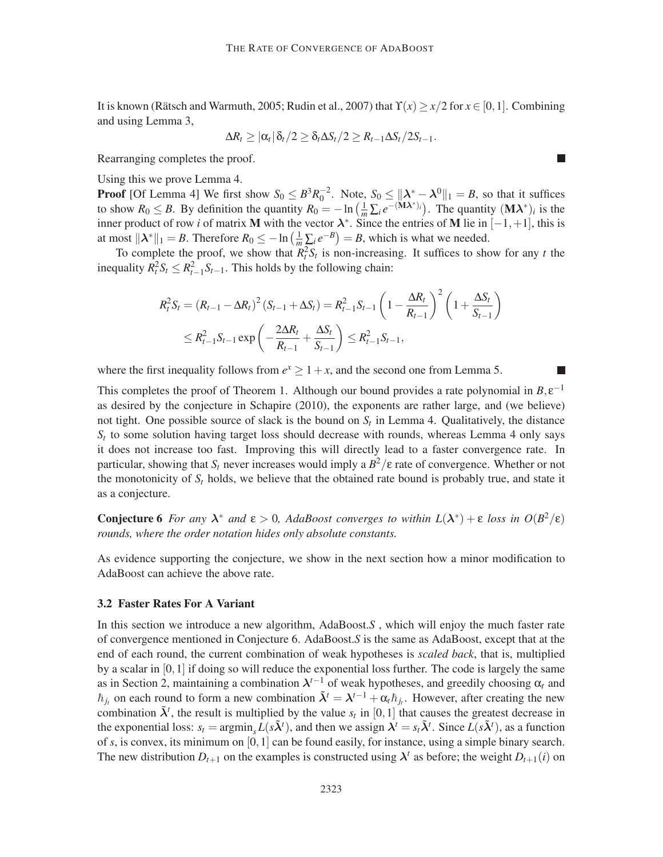It is known (Rätsch and Warmuth, 2005; Rudin et al., 2007) that  $\Upsilon(x) \ge x/2$  for  $x \in [0,1]$ . Combining and using Lemma 3,

$$
\Delta R_t \geq |\alpha_t| \, \delta_t/2 \geq \delta_t \Delta S_t/2 \geq R_{t-1} \Delta S_t/2S_{t-1}.
$$

П

ш

Rearranging completes the proof.

Using this we prove Lemma 4.

**Proof** [Of Lemma 4] We first show  $S_0 \n\t\leq B^3 R_0^{-2}$ . Note,  $S_0 \leq ||\lambda^* - \lambda^0||_1 = B$ , so that it suffices to show  $R_0 \leq B$ . By definition the quantity  $R_0 = -\ln\left(\frac{1}{m}\sum_i e^{-(\mathbf{M}\lambda^*)_i}\right)$ . The quantity  $(\mathbf{M}\lambda^*)_i$  is the inner product of row *i* of matrix **M** with the vector  $\lambda^*$ . Since the entries of **M** lie in  $[-1, +1]$ , this is at most  $\|\lambda^*\|_1 = B$ . Therefore  $R_0 \le -\ln\left(\frac{1}{m}\sum_i e^{-B}\right) = B$ , which is what we needed.

To complete the proof, we show that  $R_t^2 S_t$  is non-increasing. It suffices to show for any *t* the inequality  $R_t^2 S_t \leq R_{t-1}^2 S_{t-1}$ . This holds by the following chain:

$$
R_{t}^{2}S_{t} = (R_{t-1} - \Delta R_{t})^{2} (S_{t-1} + \Delta S_{t}) = R_{t-1}^{2} S_{t-1} \left( 1 - \frac{\Delta R_{t}}{R_{t-1}} \right)^{2} \left( 1 + \frac{\Delta S_{t}}{S_{t-1}} \right)
$$
  

$$
\leq R_{t-1}^{2} S_{t-1} \exp \left( -\frac{2\Delta R_{t}}{R_{t-1}} + \frac{\Delta S_{t}}{S_{t-1}} \right) \leq R_{t-1}^{2} S_{t-1},
$$

where the first inequality follows from  $e^x \ge 1 + x$ , and the second one from Lemma 5.

This completes the proof of Theorem 1. Although our bound provides a rate polynomial in  $B, \varepsilon^{-1}$ as desired by the conjecture in Schapire (2010), the exponents are rather large, and (we believe) not tight. One possible source of slack is the bound on  $S_t$  in Lemma 4. Qualitatively, the distance  $S_t$  to some solution having target loss should decrease with rounds, whereas Lemma 4 only says it does not increase too fast. Improving this will directly lead to a faster convergence rate. In particular, showing that *S<sup>t</sup>* never increases would imply a *B* <sup>2</sup>/ε rate of convergence. Whether or not the monotonicity of  $S_t$  holds, we believe that the obtained rate bound is probably true, and state it as a conjecture.

**Conjecture 6** For any  $\lambda^*$  and  $\epsilon > 0$ , AdaBoost converges to within  $L(\lambda^*) + \epsilon$  loss in  $O(B^2/\epsilon)$ *rounds, where the order notation hides only absolute constants.*

As evidence supporting the conjecture, we show in the next section how a minor modification to AdaBoost can achieve the above rate.

#### 3.2 Faster Rates For A Variant

In this section we introduce a new algorithm, AdaBoost.*S* , which will enjoy the much faster rate of convergence mentioned in Conjecture 6. AdaBoost.*S* is the same as AdaBoost, except that at the end of each round, the current combination of weak hypotheses is *scaled back*, that is, multiplied by a scalar in [0,1] if doing so will reduce the exponential loss further. The code is largely the same as in Section 2, maintaining a combination  $\lambda^{t-1}$  of weak hypotheses, and greedily choosing  $\alpha_t$  and  $\hbar_{j_t}$  on each round to form a new combination  $\tilde{\lambda}^t = \lambda^{t-1} + \alpha_t \hbar_{j_t}$ . However, after creating the new combination  $\tilde{\lambda}^t$ , the result is multiplied by the value  $s_t$  in [0,1] that causes the greatest decrease in the exponential loss:  $s_t = \text{argmin}_s L(s\tilde{\lambda}^t)$ , and then we assign  $\lambda^t = s_t \tilde{\lambda}^t$ . Since  $L(s\tilde{\lambda}^t)$ , as a function of *s*, is convex, its minimum on [0,1] can be found easily, for instance, using a simple binary search. The new distribution  $D_{t+1}$  on the examples is constructed using  $\lambda^t$  as before; the weight  $D_{t+1}(i)$  on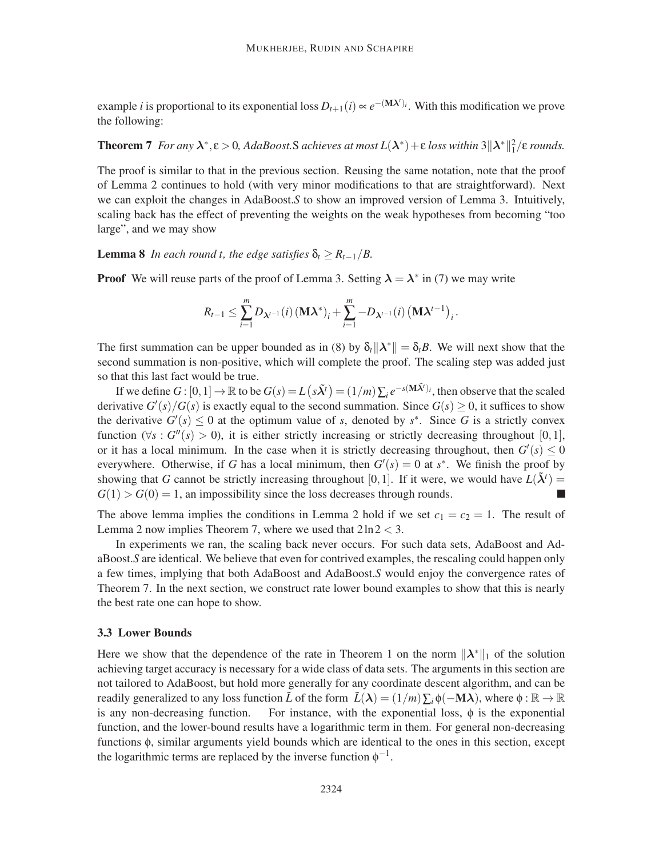example *i* is proportional to its exponential loss  $D_{t+1}(i) \propto e^{-(\mathbf{M}\lambda^t)i}$ . With this modification we prove the following:

**Theorem 7** *For any*  $\lambda^*, \varepsilon > 0$ , AdaBoost.S achieves at most  $L(\lambda^*) + \varepsilon$  loss within  $3||\lambda^*||_1^2/\varepsilon$  *rounds.* 

The proof is similar to that in the previous section. Reusing the same notation, note that the proof of Lemma 2 continues to hold (with very minor modifications to that are straightforward). Next we can exploit the changes in AdaBoost.*S* to show an improved version of Lemma 3. Intuitively, scaling back has the effect of preventing the weights on the weak hypotheses from becoming "too large", and we may show

**Lemma 8** *In each round t, the edge satisfies*  $\delta_t \geq R_{t-1}/B$ .

**Proof** We will reuse parts of the proof of Lemma 3. Setting  $\lambda = \lambda^*$  in (7) we may write

$$
R_{t-1} \leq \sum_{i=1}^{m} D_{\lambda^{t-1}}(i) (\mathbf{M} \lambda^*)_i + \sum_{i=1}^{m} -D_{\lambda^{t-1}}(i) (\mathbf{M} \lambda^{t-1})_i.
$$

The first summation can be upper bounded as in (8) by  $\delta_t ||\lambda^*|| = \delta_t B$ . We will next show that the second summation is non-positive, which will complete the proof. The scaling step was added just so that this last fact would be true.

If we define  $G : [0,1] \to \mathbb{R}$  to be  $G(s) = L(s\tilde{\lambda}^t) = (1/m) \sum_i e^{-s({\bf M}\tilde{\lambda}^t)i}$ , then observe that the scaled derivative  $G'(s)/G(s)$  is exactly equal to the second summation. Since  $G(s) \geq 0$ , it suffices to show the derivative  $G'(s) \leq 0$  at the optimum value of *s*, denoted by *s*<sup>\*</sup>. Since *G* is a strictly convex function ( $\forall s : G''(s) > 0$ ), it is either strictly increasing or strictly decreasing throughout [0,1], or it has a local minimum. In the case when it is strictly decreasing throughout, then  $G'(s) \leq 0$ everywhere. Otherwise, if *G* has a local minimum, then  $G'(s) = 0$  at  $s^*$ . We finish the proof by showing that *G* cannot be strictly increasing throughout [0,1]. If it were, we would have  $L(\tilde{\lambda}^t)$  $G(1) > G(0) = 1$ , an impossibility since the loss decreases through rounds.

The above lemma implies the conditions in Lemma 2 hold if we set  $c_1 = c_2 = 1$ . The result of Lemma 2 now implies Theorem 7, where we used that  $2\ln 2 < 3$ .

In experiments we ran, the scaling back never occurs. For such data sets, AdaBoost and AdaBoost.*S* are identical. We believe that even for contrived examples, the rescaling could happen only a few times, implying that both AdaBoost and AdaBoost.*S* would enjoy the convergence rates of Theorem 7. In the next section, we construct rate lower bound examples to show that this is nearly the best rate one can hope to show.

#### 3.3 Lower Bounds

Here we show that the dependence of the rate in Theorem 1 on the norm  $\|\lambda^*\|_1$  of the solution achieving target accuracy is necessary for a wide class of data sets. The arguments in this section are not tailored to AdaBoost, but hold more generally for any coordinate descent algorithm, and can be readily generalized to any loss function  $\tilde{L}$  of the form  $\tilde{L}(\lambda) = (1/m)\sum_i \phi(-M\lambda)$ , where  $\phi : \mathbb{R} \to \mathbb{R}$  is any non-decreasing function. For instance, with the exponential loss,  $\phi$  is the exponential For instance, with the exponential loss,  $\phi$  is the exponential function, and the lower-bound results have a logarithmic term in them. For general non-decreasing functions φ, similar arguments yield bounds which are identical to the ones in this section, except the logarithmic terms are replaced by the inverse function  $\phi^{-1}$ .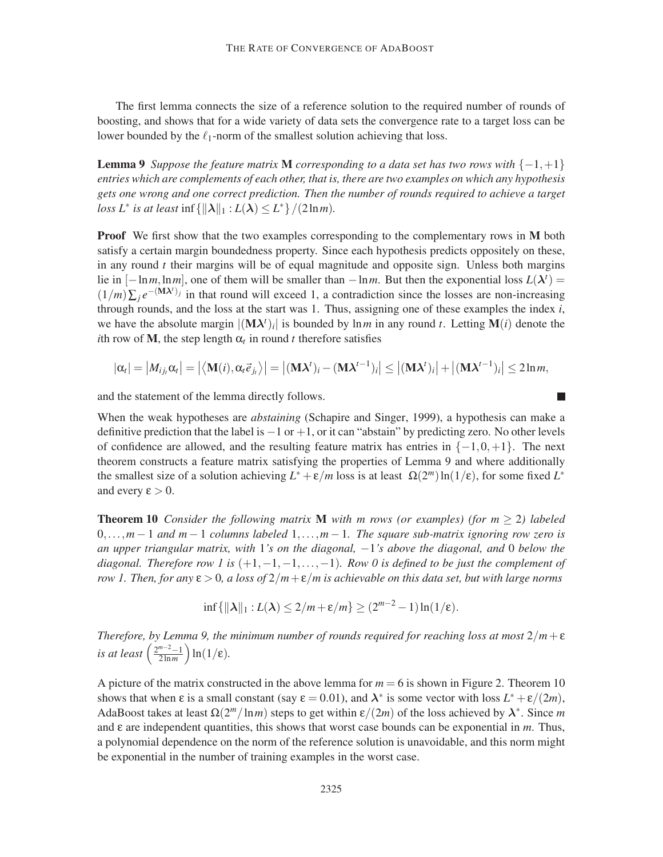The first lemma connects the size of a reference solution to the required number of rounds of boosting, and shows that for a wide variety of data sets the convergence rate to a target loss can be lower bounded by the  $\ell_1$ -norm of the smallest solution achieving that loss.

**Lemma 9** *Suppose the feature matrix* **M** *corresponding to a data set has two rows with*  $\{-1, +1\}$ *entries which are complements of each other, that is, there are two examples on which any hypothesis gets one wrong and one correct prediction. Then the number of rounds required to achieve a target loss*  $L^*$  *is at least*  $\inf \{ ||\boldsymbol{\lambda}||_1 : L(\boldsymbol{\lambda}) \leq L^* \} / (2 \ln m)$ .

**Proof** We first show that the two examples corresponding to the complementary rows in M both satisfy a certain margin boundedness property. Since each hypothesis predicts oppositely on these, in any round *t* their margins will be of equal magnitude and opposite sign. Unless both margins lie in  $[-\ln m, \ln m]$ , one of them will be smaller than  $-\ln m$ . But then the exponential loss  $L(\lambda^t)$  =  $(1/m)\sum_j e^{-(\mathbf{M}\mathbf{\lambda}^t)_j}$  in that round will exceed 1, a contradiction since the losses are non-increasing through rounds, and the loss at the start was 1. Thus, assigning one of these examples the index *i*, we have the absolute margin  $|(M\lambda^t)_i|$  is bounded by  $\ln m$  in any round *t*. Letting  $M(i)$  denote the *i*th row of **M**, the step length  $\alpha_t$  in round *t* therefore satisfies

$$
|\alpha_i| = |M_{ij_i}\alpha_i| = |\langle \mathbf{M}(i), \alpha_i \vec{e}_{j_i} \rangle| = |(\mathbf{M}\lambda^t)_i - (\mathbf{M}\lambda^{t-1})_i| \le |(\mathbf{M}\lambda^t)_i| + |(\mathbf{M}\lambda^{t-1})_i| \le 2\ln m,
$$

and the statement of the lemma directly follows.

When the weak hypotheses are *abstaining* (Schapire and Singer, 1999), a hypothesis can make a definitive prediction that the label is  $-1$  or  $+1$ , or it can "abstain" by predicting zero. No other levels of confidence are allowed, and the resulting feature matrix has entries in  $\{-1,0,+1\}$ . The next theorem constructs a feature matrix satisfying the properties of Lemma 9 and where additionally the smallest size of a solution achieving  $L^* + \varepsilon/m$  loss is at least  $\Omega(2^m) \ln(1/\varepsilon)$ , for some fixed  $L^*$ and every  $\epsilon > 0$ .

Theorem 10 *Consider the following matrix* M *with m rows (or examples) (for m* ≥ 2*) labeled* 0,...,*m* − 1 *and m* − 1 *columns labeled* 1,...,*m* − 1*. The square sub-matrix ignoring row zero is an upper triangular matrix, with* 1*'s on the diagonal,* −1*'s above the diagonal, and* 0 *below the diagonal. Therefore row 1 is* (+1,−1,−1,...,−1)*. Row 0 is defined to be just the complement of row 1. Then, for any*  $\varepsilon > 0$ , a loss of  $2/m + \varepsilon/m$  is achievable on this data set, but with large norms

$$
\inf\{\|\boldsymbol{\lambda}\|_1: L(\boldsymbol{\lambda}) \leq 2/m + \varepsilon/m\} \geq (2^{m-2}-1)\ln(1/\varepsilon).
$$

*Therefore, by Lemma 9, the minimum number of rounds required for reaching loss at most*  $2/m + \varepsilon$ *is at least*  $\left(\frac{2^{m-2}-1}{2\ln m}\right) \ln(1/\epsilon)$ *.* 

A picture of the matrix constructed in the above lemma for  $m = 6$  is shown in Figure 2. Theorem 10 shows that when  $\varepsilon$  is a small constant (say  $\varepsilon = 0.01$ ), and  $\lambda^*$  is some vector with loss  $L^* + \varepsilon/(2m)$ , AdaBoost takes at least  $\Omega(2^m/\ln m)$  steps to get within  $\epsilon/(2m)$  of the loss achieved by  $\lambda^*$ . Since m and ε are independent quantities, this shows that worst case bounds can be exponential in *m*. Thus, a polynomial dependence on the norm of the reference solution is unavoidable, and this norm might be exponential in the number of training examples in the worst case.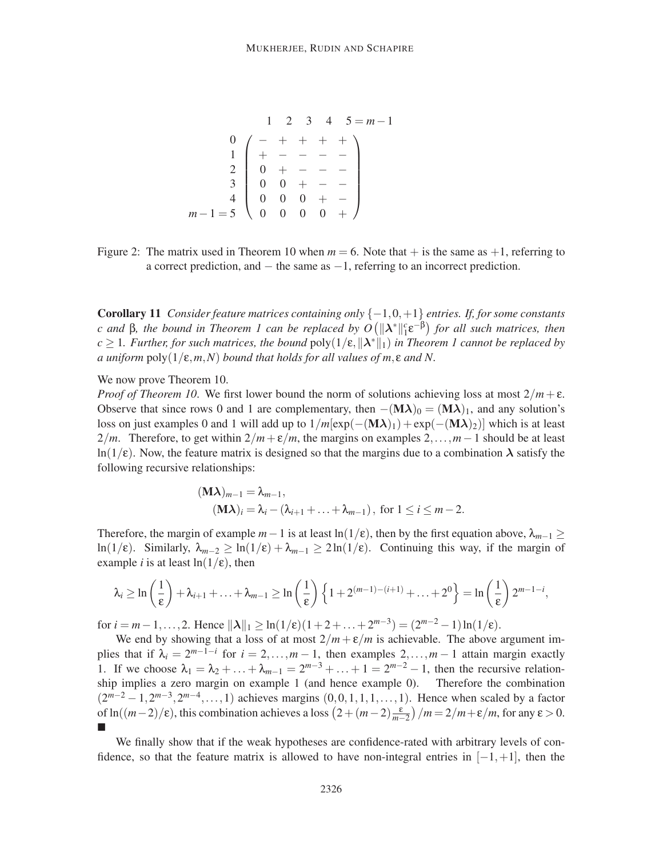1 2 3 4 5 = *m*−1 0 1 2 3 4 *m*−1 = 5 − + + + + + − − − − 0 + − − − 0 0 + − − 0 0 0 + − 0 0 0 0 + 

Figure 2: The matrix used in Theorem 10 when  $m = 6$ . Note that  $+$  is the same as  $+1$ , referring to a correct prediction, and − the same as −1, referring to an incorrect prediction.

Corollary 11 *Consider feature matrices containing only* {−1,0,+1} *entries. If, for some constants c* and β, the bound in Theorem 1 can be replaced by  $O(||λ^*||_1^c ε^{-β})$  for all such matrices, then  $c \geq 1$ *. Further, for such matrices, the bound*  $poly(1/\varepsilon, \| \lambda^* \|_1)$  *in Theorem 1 cannot be replaced by a uniform* poly(1/ε,*m*,*N*) *bound that holds for all values of m*, ε *and N.*

We now prove Theorem 10.

*Proof of Theorem 10.* We first lower bound the norm of solutions achieving loss at most  $2/m + \varepsilon$ . Observe that since rows 0 and 1 are complementary, then  $-(M\lambda)_0 = (M\lambda)_1$ , and any solution's loss on just examples 0 and 1 will add up to  $1/m[\exp(-(M\lambda)_1) + \exp(-(M\lambda)_2)]$  which is at least 2/*m*. Therefore, to get within  $2/m + \varepsilon/m$ , the margins on examples 2,...,*m* − 1 should be at least  $ln(1/\epsilon)$ . Now, the feature matrix is designed so that the margins due to a combination  $\lambda$  satisfy the following recursive relationships:

$$
(\mathbf{M}\boldsymbol{\lambda})_{m-1} = \lambda_{m-1},
$$
  
\n
$$
(\mathbf{M}\boldsymbol{\lambda})_i = \lambda_i - (\lambda_{i+1} + \ldots + \lambda_{m-1}), \text{ for } 1 \le i \le m-2.
$$

Therefore, the margin of example  $m-1$  is at least  $\ln(1/\epsilon)$ , then by the first equation above,  $\lambda_{m-1} \ge$ ln(1/ε). Similarly,  $\lambda_{m-2} \geq \ln(1/\epsilon) + \lambda_{m-1} \geq 2\ln(1/\epsilon)$ . Continuing this way, if the margin of example *i* is at least  $ln(1/\epsilon)$ , then

$$
\lambda_i \geq \ln\left(\frac{1}{\epsilon}\right) + \lambda_{i+1} + \ldots + \lambda_{m-1} \geq \ln\left(\frac{1}{\epsilon}\right) \left\{1 + 2^{(m-1)-(i+1)} + \ldots + 2^0\right\} = \ln\left(\frac{1}{\epsilon}\right) 2^{m-1-i},
$$

for  $i = m-1, ..., 2$ . Hence  $\|\lambda\|_1 \ge \ln(1/\epsilon)(1+2+...+2^{m-3}) = (2^{m-2}-1)\ln(1/\epsilon)$ .

We end by showing that a loss of at most  $2/m + \varepsilon/m$  is achievable. The above argument implies that if  $\lambda_i = 2^{m-1-i}$  for  $i = 2, ..., m-1$ , then examples  $2, ..., m-1$  attain margin exactly 1. If we choose  $\lambda_1 = \lambda_2 + ... + \lambda_{m-1} = 2^{m-3} + ... + 1 = 2^{m-2} - 1$ , then the recursive relationship implies a zero margin on example 1 (and hence example 0). Therefore the combination  $(2^{m-2} - 1, 2^{m-3}, 2^{m-4}, \ldots, 1)$  achieves margins  $(0, 0, 1, 1, 1, \ldots, 1)$ . Hence when scaled by a factor of ln( $(m-2)/\varepsilon$ ), this combination achieves a loss  $\left(2 + (m-2)\frac{\varepsilon}{m-1}\right)$  $\left(\frac{\varepsilon}{m-2}\right)/m = 2/m + \varepsilon/m$ , for any  $\varepsilon > 0$ .  $\blacksquare$ 

We finally show that if the weak hypotheses are confidence-rated with arbitrary levels of confidence, so that the feature matrix is allowed to have non-integral entries in  $[-1, +1]$ , then the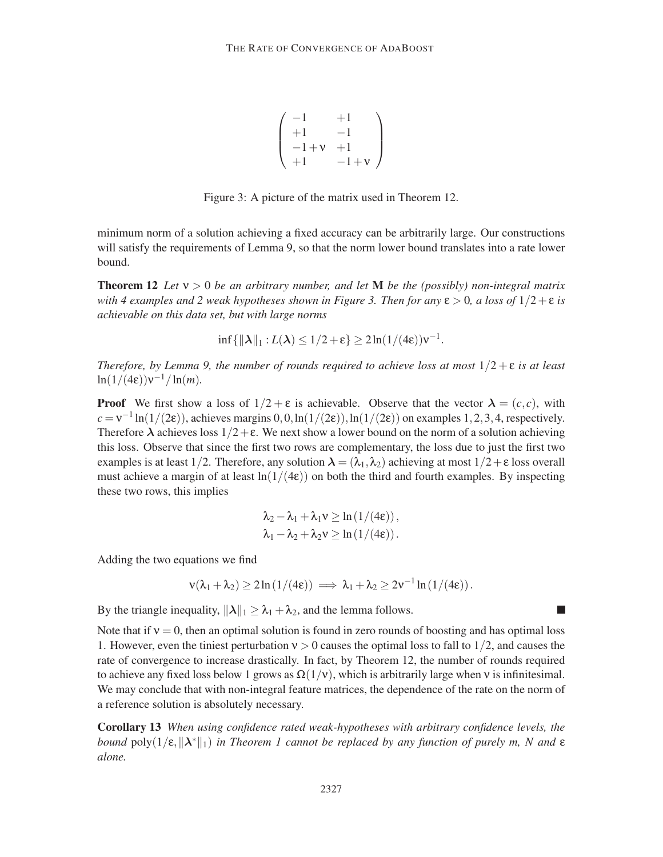$$
\left(\begin{array}{ccc} -1 & +1 \\ +1 & -1 \\ -1+\nu & +1 \\ +1 & -1+\nu \end{array}\right)
$$

Figure 3: A picture of the matrix used in Theorem 12.

minimum norm of a solution achieving a fixed accuracy can be arbitrarily large. Our constructions will satisfy the requirements of Lemma 9, so that the norm lower bound translates into a rate lower bound.

**Theorem 12** Let  $v > 0$  be an arbitrary number, and let **M** be the (possibly) non-integral matrix *with 4 examples and 2 weak hypotheses shown in Figure 3. Then for any*  $\epsilon > 0$ , a loss of  $1/2 + \epsilon$  *is achievable on this data set, but with large norms*

$$
\inf\{\|\boldsymbol{\lambda}\|_1: L(\boldsymbol{\lambda}) \leq 1/2 + \epsilon\} \geq 2\ln(1/(4\epsilon))\nu^{-1}.
$$

*Therefore, by Lemma 9, the number of rounds required to achieve loss at most*  $1/2 + \varepsilon$  *is at least*  $\ln(1/(4\epsilon))v^{-1}/\ln(m)$ .

**Proof** We first show a loss of  $1/2 + \varepsilon$  is achievable. Observe that the vector  $\lambda = (c, c)$ , with  $c = v^{-1} \ln(1/(2\varepsilon))$ , achieves margins 0,0,  $\ln(1/(2\varepsilon))$ ,  $\ln(1/(2\varepsilon))$  on examples 1, 2, 3, 4, respectively. Therefore  $\lambda$  achieves loss  $1/2 + \varepsilon$ . We next show a lower bound on the norm of a solution achieving this loss. Observe that since the first two rows are complementary, the loss due to just the first two examples is at least 1/2. Therefore, any solution  $\lambda = (\lambda_1, \lambda_2)$  achieving at most  $1/2 + \epsilon$  loss overall must achieve a margin of at least  $ln(1/(4\epsilon))$  on both the third and fourth examples. By inspecting these two rows, this implies

$$
\lambda_2 - \lambda_1 + \lambda_1 v \ge \ln(1/(4\epsilon)),
$$
  

$$
\lambda_1 - \lambda_2 + \lambda_2 v \ge \ln(1/(4\epsilon)).
$$

Adding the two equations we find

$$
\mathsf{v}(\lambda_1+\lambda_2)\geq 2\ln\left(1/(4\epsilon)\right)\implies \lambda_1+\lambda_2\geq 2\mathsf{v}^{-1}\ln\left(1/(4\epsilon)\right).
$$

By the triangle inequality,  $\|\lambda\|_1 \geq \lambda_1 + \lambda_2$ , and the lemma follows.

Note that if  $v = 0$ , then an optimal solution is found in zero rounds of boosting and has optimal loss 1. However, even the tiniest perturbation  $v > 0$  causes the optimal loss to fall to 1/2, and causes the rate of convergence to increase drastically. In fact, by Theorem 12, the number of rounds required to achieve any fixed loss below 1 grows as  $\Omega(1/v)$ , which is arbitrarily large when v is infinitesimal. We may conclude that with non-integral feature matrices, the dependence of the rate on the norm of a reference solution is absolutely necessary.

Corollary 13 *When using confidence rated weak-hypotheses with arbitrary confidence levels, the* bound  $poly(1/\varepsilon, \| \lambda^* \|_1)$  in Theorem 1 cannot be replaced by any function of purely m, N and  $\varepsilon$ *alone.*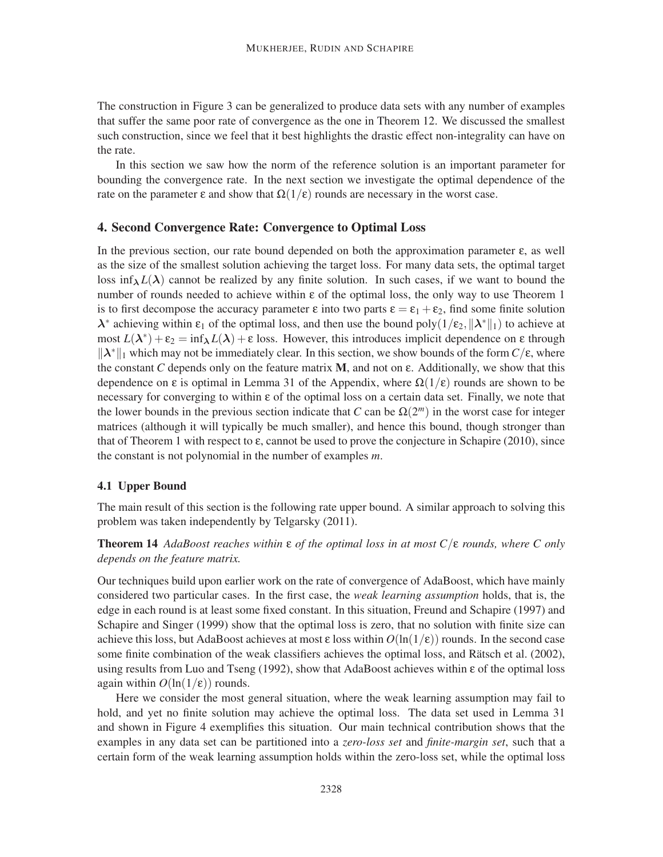The construction in Figure 3 can be generalized to produce data sets with any number of examples that suffer the same poor rate of convergence as the one in Theorem 12. We discussed the smallest such construction, since we feel that it best highlights the drastic effect non-integrality can have on the rate.

In this section we saw how the norm of the reference solution is an important parameter for bounding the convergence rate. In the next section we investigate the optimal dependence of the rate on the parameter  $\varepsilon$  and show that  $\Omega(1/\varepsilon)$  rounds are necessary in the worst case.

#### 4. Second Convergence Rate: Convergence to Optimal Loss

In the previous section, our rate bound depended on both the approximation parameter ε, as well as the size of the smallest solution achieving the target loss. For many data sets, the optimal target loss inf<sub> $\lambda$ </sub> $L(\lambda)$  cannot be realized by any finite solution. In such cases, if we want to bound the number of rounds needed to achieve within  $\varepsilon$  of the optimal loss, the only way to use Theorem 1 is to first decompose the accuracy parameter  $\varepsilon$  into two parts  $\varepsilon = \varepsilon_1 + \varepsilon_2$ , find some finite solution  $\lambda^*$  achieving within  $\varepsilon_1$  of the optimal loss, and then use the bound poly $(1/\varepsilon_2, ||\lambda^*||_1)$  to achieve at most  $L(\lambda^*) + \varepsilon_2 = \inf_{\lambda} L(\lambda) + \varepsilon$  loss. However, this introduces implicit dependence on  $\varepsilon$  through  $\|\lambda^*\|_1$  which may not be immediately clear. In this section, we show bounds of the form  $C/\varepsilon$ , where the constant *C* depends only on the feature matrix **M**, and not on  $\varepsilon$ . Additionally, we show that this dependence on  $\varepsilon$  is optimal in Lemma 31 of the Appendix, where  $\Omega(1/\varepsilon)$  rounds are shown to be necessary for converging to within ε of the optimal loss on a certain data set. Finally, we note that the lower bounds in the previous section indicate that  $C$  can be  $\Omega(2^m)$  in the worst case for integer matrices (although it will typically be much smaller), and hence this bound, though stronger than that of Theorem 1 with respect to  $\varepsilon$ , cannot be used to prove the conjecture in Schapire (2010), since the constant is not polynomial in the number of examples *m*.

#### 4.1 Upper Bound

The main result of this section is the following rate upper bound. A similar approach to solving this problem was taken independently by Telgarsky (2011).

Theorem 14 *AdaBoost reaches within* ε *of the optimal loss in at most C*/ε *rounds, where C only depends on the feature matrix.*

Our techniques build upon earlier work on the rate of convergence of AdaBoost, which have mainly considered two particular cases. In the first case, the *weak learning assumption* holds, that is, the edge in each round is at least some fixed constant. In this situation, Freund and Schapire (1997) and Schapire and Singer (1999) show that the optimal loss is zero, that no solution with finite size can achieve this loss, but AdaBoost achieves at most  $\varepsilon$  loss within  $O(\ln(1/\varepsilon))$  rounds. In the second case some finite combination of the weak classifiers achieves the optimal loss, and Rätsch et al. (2002), using results from Luo and Tseng (1992), show that AdaBoost achieves within  $\varepsilon$  of the optimal loss again within  $O(\ln(1/\epsilon))$  rounds.

Here we consider the most general situation, where the weak learning assumption may fail to hold, and yet no finite solution may achieve the optimal loss. The data set used in Lemma 31 and shown in Figure 4 exemplifies this situation. Our main technical contribution shows that the examples in any data set can be partitioned into a *zero-loss set* and *finite-margin set*, such that a certain form of the weak learning assumption holds within the zero-loss set, while the optimal loss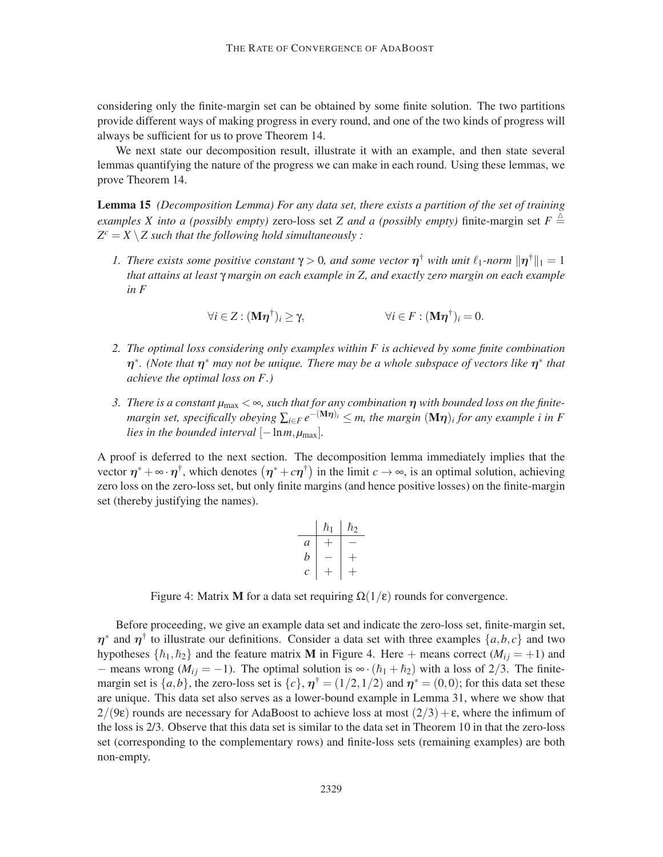considering only the finite-margin set can be obtained by some finite solution. The two partitions provide different ways of making progress in every round, and one of the two kinds of progress will always be sufficient for us to prove Theorem 14.

We next state our decomposition result, illustrate it with an example, and then state several lemmas quantifying the nature of the progress we can make in each round. Using these lemmas, we prove Theorem 14.

Lemma 15 *(Decomposition Lemma) For any data set, there exists a partition of the set of training examples X into a (possibly empty)* zero-loss set *Z and a (possibly empty)* finite-margin set  $F \triangleq$  $Z^c = X \setminus Z$  such that the following hold simultaneously :

*1. There exists some positive constant*  $\gamma > 0$ , and some vector  $\eta^{\dagger}$  with unit  $\ell_1$ -norm  $\|\eta^{\dagger}\|_1 = 1$ *that attains at least* γ *margin on each example in Z, and exactly zero margin on each example in F*

$$
\forall i \in Z : (\mathbf{M}\boldsymbol{\eta}^{\dagger})_i \geq \gamma, \qquad \forall i \in F : (\mathbf{M}\boldsymbol{\eta}^{\dagger})_i = 0.
$$

- *2. The optimal loss considering only examples within F is achieved by some finite combination*  $\eta^*$ . (Note that  $\eta^*$  may not be unique. There may be a whole subspace of vectors like  $\eta^*$  that *achieve the optimal loss on F.)*
- *3. There is a constant µ*max < ∞*, such that for any combination* η *with bounded loss on the finitemargin set, specifically obeying*  $\sum_{i \in F} e^{-(M\eta)i} \leq m$ , the margin  $(M\eta)_i$  for any example i in F *lies in the bounded interval*  $[-\ln m, \mu_{\text{max}}]$ *.*

A proof is deferred to the next section. The decomposition lemma immediately implies that the vector  $\eta^* + \infty \cdot \eta^{\dagger}$ , which denotes  $(\eta^* + c\eta^{\dagger})$  in the limit  $c \to \infty$ , is an optimal solution, achieving zero loss on the zero-loss set, but only finite margins (and hence positive losses) on the finite-margin set (thereby justifying the names).

$$
\begin{array}{c|c|c}\n & h_1 & h_2 \\
\hline\na & + & - \\
b & - & + \\
c & + & + \n\end{array}
$$

Figure 4: Matrix M for a data set requiring  $\Omega(1/\epsilon)$  rounds for convergence.

Before proceeding, we give an example data set and indicate the zero-loss set, finite-margin set,  $\eta^*$  and  $\eta^{\dagger}$  to illustrate our definitions. Consider a data set with three examples  $\{a, b, c\}$  and two hypotheses  $\{\hbar_1,\hbar_2\}$  and the feature matrix **M** in Figure 4. Here + means correct ( $M_{ij} = +1$ ) and − means wrong ( $M_{ij} = -1$ ). The optimal solution is  $\infty \cdot (\hbar_1 + \hbar_2)$  with a loss of 2/3. The finitemargin set is  $\{a,b\}$ , the zero-loss set is  $\{c\}$ ,  $\eta^{\dagger} = (1/2,1/2)$  and  $\eta^* = (0,0)$ ; for this data set these are unique. This data set also serves as a lower-bound example in Lemma 31, where we show that  $2/(9\epsilon)$  rounds are necessary for AdaBoost to achieve loss at most  $(2/3) + \epsilon$ , where the infimum of the loss is 2/3. Observe that this data set is similar to the data set in Theorem 10 in that the zero-loss set (corresponding to the complementary rows) and finite-loss sets (remaining examples) are both non-empty.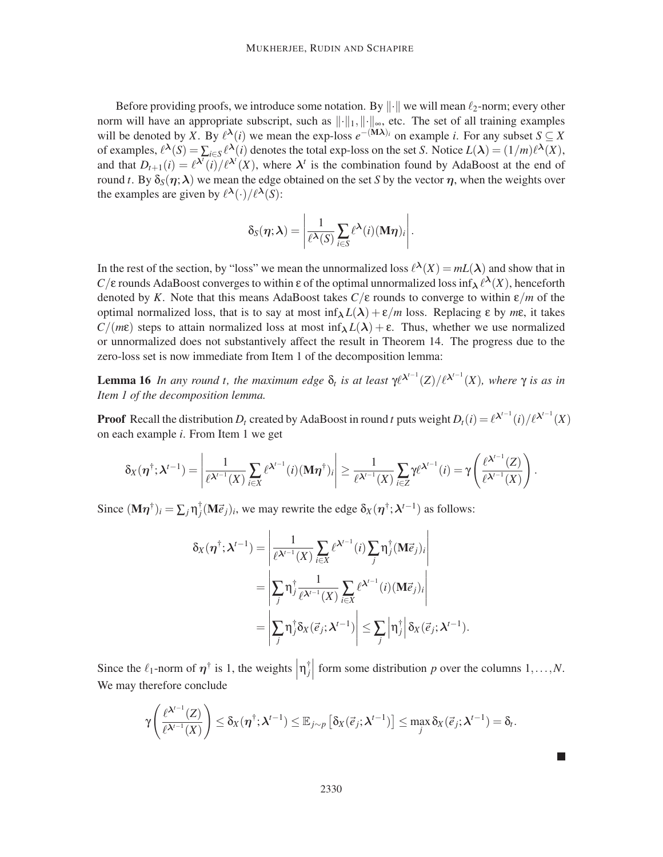Before providing proofs, we introduce some notation. By  $\|\cdot\|$  we will mean  $\ell_2$ -norm; every other norm will have an appropriate subscript, such as  $\|\cdot\|_1, \|\cdot\|_{\infty}$ , etc. The set of all training examples will be denoted by *X*. By  $\ell^{\lambda}(i)$  we mean the exp-loss  $e^{-(\mathbf{M}\lambda)i}$  on example *i*. For any subset  $S \subseteq X$ of examples,  $\ell^{\lambda}(S) = \sum_{i \in S} \ell^{\lambda}(i)$  denotes the total exp-loss on the set *S*. Notice  $L(\lambda) = (1/m)\ell^{\lambda}(X)$ , and that  $D_{t+1}(i) = \ell^{N}(i)/\ell^{N'}(X)$ , where  $\lambda^t$  is the combination found by AdaBoost at the end of round *t*. By  $\delta_S(\eta; \lambda)$  we mean the edge obtained on the set *S* by the vector  $\eta$ , when the weights over the examples are given by  $\ell^{\lambda}(\cdot)/\ell^{\lambda}(S)$ :

$$
\delta_S(\boldsymbol{\eta};\boldsymbol{\lambda}) = \left|\frac{1}{\ell^{\boldsymbol{\lambda}}(S)}\sum_{i\in S}\ell^{\boldsymbol{\lambda}}(i)(\mathbf{M}\boldsymbol{\eta})_i\right|.
$$

In the rest of the section, by "loss" we mean the unnormalized loss  $\ell^{\lambda}(X) = mL(\lambda)$  and show that in *C*/ε rounds AdaBoost converges to within ε of the optimal unnormalized loss inf<sub>λ</sub>  $\ell^{\lambda}(X)$ , henceforth denoted by *K*. Note that this means AdaBoost takes  $C/\varepsilon$  rounds to converge to within  $\varepsilon/m$  of the optimal normalized loss, that is to say at most  $\inf_{\lambda} L(\lambda) + \varepsilon/m$  loss. Replacing ε by *m*ε, it takes  $C/(m\epsilon)$  steps to attain normalized loss at most inf $\lambda L(\lambda) + \epsilon$ . Thus, whether we use normalized or unnormalized does not substantively affect the result in Theorem 14. The progress due to the zero-loss set is now immediate from Item 1 of the decomposition lemma:

Lemma 16 *In any round t, the maximum edge*  $\delta_t$  *is at least*  $\gamma \ell^{\lambda^{t-1}}(Z)/\ell^{\lambda^{t-1}}(X)$ *, where*  $\gamma$  *is as in Item 1 of the decomposition lemma.*

**Proof** Recall the distribution  $D_t$  created by AdaBoost in round *t* puts weight  $D_t(i) = \ell^{\lambda^{t-1}}(i)/\ell^{\lambda^{t-1}}(X)$ on each example *i*. From Item 1 we get

$$
\delta_X(\boldsymbol{\eta}^\dagger; \boldsymbol{\lambda}^{t-1}) = \left| \frac{1}{\ell^{\boldsymbol{\lambda}^{t-1}}(X)} \sum_{i \in X} \ell^{\boldsymbol{\lambda}^{t-1}}(i) (\mathbf{M}\boldsymbol{\eta}^\dagger)_i \right| \geq \frac{1}{\ell^{\boldsymbol{\lambda}^{t-1}}(X)} \sum_{i \in Z} \gamma \ell^{\boldsymbol{\lambda}^{t-1}}(i) = \gamma \left( \frac{\ell^{\boldsymbol{\lambda}^{t-1}}(Z)}{\ell^{\boldsymbol{\lambda}^{t-1}}(X)} \right).
$$

Since  $(M\eta^{\dagger})_i = \sum_j \eta_j^{\dagger}$  $\int_{j}^{\dagger} (\mathbf{M} \vec{e}_j)_i$ , we may rewrite the edge  $\delta_X(\boldsymbol{\eta}^\dagger ; \boldsymbol{\lambda}^{t-1})$  as follows:

$$
\delta_X(\boldsymbol{\eta}^\dagger; \boldsymbol{\lambda}^{t-1}) = \left| \frac{1}{\ell^{\boldsymbol{\lambda}^{t-1}}(X)} \sum_{i \in X} \ell^{\boldsymbol{\lambda}^{t-1}}(i) \sum_j \eta_j^\dagger(\mathbf{M} \vec{e}_j)_i \right|
$$
  
= 
$$
\left| \sum_j \eta_j^\dagger \frac{1}{\ell^{\boldsymbol{\lambda}^{t-1}}(X)} \sum_{i \in X} \ell^{\boldsymbol{\lambda}^{t-1}}(i) (\mathbf{M} \vec{e}_j)_i \right|
$$
  
= 
$$
\left| \sum_j \eta_j^\dagger \delta_X(\vec{e}_j; \boldsymbol{\lambda}^{t-1}) \right| \leq \sum_j \left| \eta_j^\dagger \right| \delta_X(\vec{e}_j; \boldsymbol{\lambda}^{t-1}).
$$

Since the  $\ell_1$ -norm of  $\eta^{\dagger}$  is 1, the weights  $|\eta_j^{\dagger}|$ *j* form some distribution *p* over the columns 1,...,*N*. We may therefore conclude

$$
\gamma\left(\frac{\ell^{\boldsymbol{\lambda}^{t-1}}(Z)}{\ell^{\boldsymbol{\lambda}^{t-1}}(X)}\right) \leq \delta_X(\boldsymbol{\eta}^{\dagger};\boldsymbol{\lambda}^{t-1}) \leq \mathbb{E}_{j\sim p}\left[\delta_X(\vec{e}_j;\boldsymbol{\lambda}^{t-1})\right] \leq \max_j \delta_X(\vec{e}_j;\boldsymbol{\lambda}^{t-1}) = \delta_t.
$$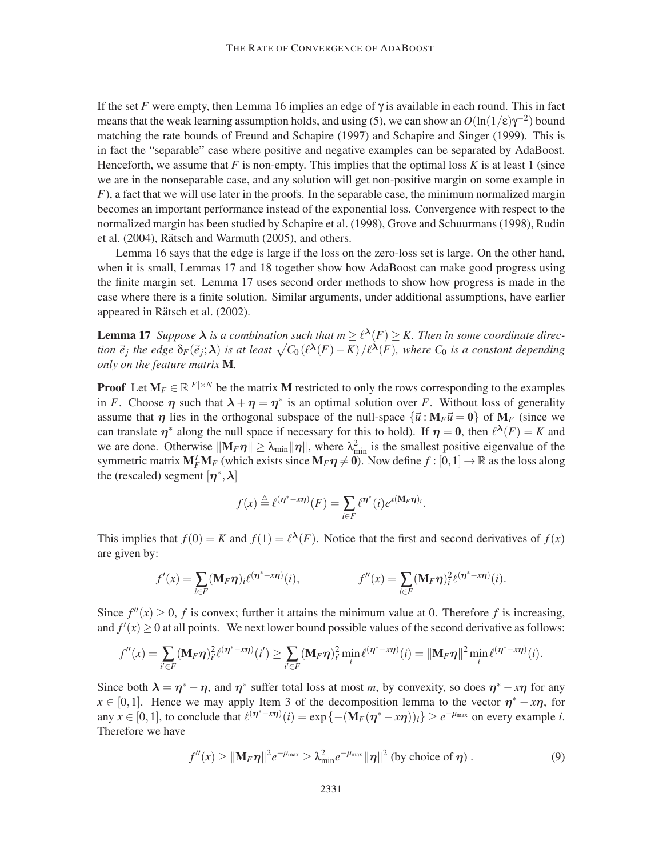If the set *F* were empty, then Lemma 16 implies an edge of  $\gamma$  is available in each round. This in fact means that the weak learning assumption holds, and using (5), we can show an  $O(\ln(1/\epsilon)\gamma^{-2})$  bound matching the rate bounds of Freund and Schapire (1997) and Schapire and Singer (1999). This is in fact the "separable" case where positive and negative examples can be separated by AdaBoost. Henceforth, we assume that  $F$  is non-empty. This implies that the optimal loss  $K$  is at least 1 (since we are in the nonseparable case, and any solution will get non-positive margin on some example in *F*), a fact that we will use later in the proofs. In the separable case, the minimum normalized margin becomes an important performance instead of the exponential loss. Convergence with respect to the normalized margin has been studied by Schapire et al. (1998), Grove and Schuurmans (1998), Rudin et al. (2004), Rätsch and Warmuth (2005), and others.

Lemma 16 says that the edge is large if the loss on the zero-loss set is large. On the other hand, when it is small, Lemmas 17 and 18 together show how AdaBoost can make good progress using the finite margin set. Lemma 17 uses second order methods to show how progress is made in the case where there is a finite solution. Similar arguments, under additional assumptions, have earlier appeared in Rätsch et al.  $(2002)$ .

**Lemma 17** *Suppose*  $\lambda$  *is a combination such that*  $m \geq l^{\lambda}(F) \geq K$ *. Then in some coordinate direction*  $\vec{e}_j$  *the edge*  $\delta_F(\vec{e}_j;\lambda)$  *is at least*  $\sqrt{C_0(\ell^{\lambda}(F)-K)/\ell^{\lambda}(F)}$ , where  $C_0$  *is a constant depending only on the feature matrix* M*.*

**Proof** Let  $M_F \in \mathbb{R}^{|F| \times N}$  be the matrix M restricted to only the rows corresponding to the examples in *F*. Choose  $\eta$  such that  $\lambda + \eta = \eta^*$  is an optimal solution over *F*. Without loss of generality assume that  $\eta$  lies in the orthogonal subspace of the null-space  $\{\vec{u} : M_F \vec{u} = 0\}$  of  $M_F$  (since we can translate  $\eta^*$  along the null space if necessary for this to hold). If  $\eta = 0$ , then  $\ell^{\lambda}(F) = K$  and we are done. Otherwise  $\|\mathbf{M}_F\boldsymbol{\eta}\| \geq \lambda_{\min}\|\boldsymbol{\eta}\|$ , where  $\lambda_{\min}^2$  is the smallest positive eigenvalue of the symmetric matrix  $M_F^T M_F$  (which exists since  $M_F \eta \neq 0$ ). Now define  $f : [0,1] \to \mathbb{R}$  as the loss along the (rescaled) segment  $[\eta^*, \lambda]$ 

$$
f(x) \stackrel{\triangle}{=} \ell^{(\boldsymbol{\eta}^*-\boldsymbol{x}\boldsymbol{\eta})}(F) = \sum_{i\in F} \ell^{\boldsymbol{\eta}^*}(i) e^{\boldsymbol{x}(\mathbf{M}_F\boldsymbol{\eta})_i}.
$$

This implies that  $f(0) = K$  and  $f(1) = \ell^{\lambda}(F)$ . Notice that the first and second derivatives of  $f(x)$ are given by:

$$
f'(x) = \sum_{i \in F} (\mathbf{M}_F \boldsymbol{\eta})_i \ell^{(\boldsymbol{\eta}^* - x\boldsymbol{\eta})}(i), \qquad f''(x) = \sum_{i \in F} (\mathbf{M}_F \boldsymbol{\eta})_i^2 \ell^{(\boldsymbol{\eta}^* - x\boldsymbol{\eta})}(i).
$$

Since  $f''(x) \ge 0$ , *f* is convex; further it attains the minimum value at 0. Therefore *f* is increasing, and  $f'(x) \ge 0$  at all points. We next lower bound possible values of the second derivative as follows:

$$
f''(x) = \sum_{i' \in F} (\mathbf{M}_F \boldsymbol{\eta})_{i'}^2 \ell^{(\boldsymbol{\eta}^* - x\boldsymbol{\eta})}(i') \ge \sum_{i' \in F} (\mathbf{M}_F \boldsymbol{\eta})_{i'}^2 \min_i \ell^{(\boldsymbol{\eta}^* - x\boldsymbol{\eta})}(i) = ||\mathbf{M}_F \boldsymbol{\eta}||^2 \min_i \ell^{(\boldsymbol{\eta}^* - x\boldsymbol{\eta})}(i).
$$

Since both  $\lambda = \eta^* - \eta$ , and  $\eta^*$  suffer total loss at most *m*, by convexity, so does  $\eta^* - x\eta$  for any  $x \in [0,1]$ . Hence we may apply Item 3 of the decomposition lemma to the vector  $\eta^* - x\eta$ , for any  $x \in [0,1]$ , to conclude that  $\ell^{(\eta^* - x\eta)}(i) = \exp\{- (\mathbf{M}_F(\eta^* - x\eta))_i\} \ge e^{-\mu_{\text{max}}}$  on every example *i*. Therefore we have

$$
f''(x) \geq ||\mathbf{M}_F \boldsymbol{\eta}||^2 e^{-\mu_{\max}} \geq \lambda_{\min}^2 e^{-\mu_{\max}} ||\boldsymbol{\eta}||^2 \text{ (by choice of } \boldsymbol{\eta}) . \tag{9}
$$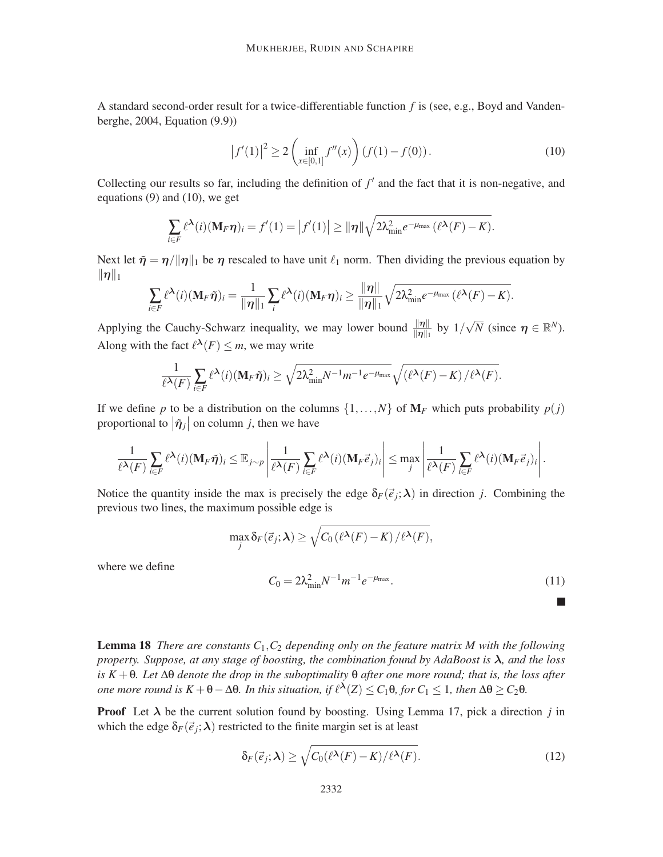A standard second-order result for a twice-differentiable function *f* is (see, e.g., Boyd and Vandenberghe, 2004, Equation (9.9))

$$
\left|f'(1)\right|^2 \ge 2\left(\inf_{x\in[0,1]}f''(x)\right)\left(f(1)-f(0)\right). \tag{10}
$$

Collecting our results so far, including the definition of  $f'$  and the fact that it is non-negative, and equations (9) and (10), we get

$$
\sum_{i\in F} \ell^{\lambda}(i)(\mathbf{M}_F \boldsymbol{\eta})_i = f'(1) = |f'(1)| \ge ||\boldsymbol{\eta}|| \sqrt{2\lambda_{\min}^2 e^{-\mu_{\max}} (\ell^{\lambda}(F) - K)}.
$$

Next let  $\tilde{\eta} = \eta/||\eta||_1$  be  $\eta$  rescaled to have unit  $\ell_1$  norm. Then dividing the previous equation by  $\|\eta\|_1$ 

$$
\sum_{i\in F} \ell^{\lambda}(i)(\mathbf{M}_F \tilde{\boldsymbol{\eta}})_i = \frac{1}{\|\boldsymbol{\eta}\|_1} \sum_i \ell^{\lambda}(i)(\mathbf{M}_F \boldsymbol{\eta})_i \ge \frac{\|\boldsymbol{\eta}\|}{\|\boldsymbol{\eta}\|_1} \sqrt{2\lambda_{\min}^2 e^{-\mu_{\max}} (\ell^{\lambda}(F) - K)}.
$$

Applying the Cauchy-Schwarz inequality, we may lower bound  $\frac{\|\eta\|}{\|\eta\|_1}$  by  $1/\sqrt{N}$  (since  $\eta \in \mathbb{R}^N$ ). Along with the fact  $\ell^{\lambda}(F) \leq m$ , we may write

$$
\frac{1}{\ell^{\lambda}(F)}\sum_{i\in F}\ell^{\lambda}(i)(\mathbf{M}_F\tilde{\boldsymbol{\eta}})_i \geq \sqrt{2\lambda_{\min}^2N^{-1}m^{-1}e^{-\mu_{\max}}}\sqrt{(\ell^{\lambda}(F)-K)/\ell^{\lambda}(F)}.
$$

If we define p to be a distribution on the columns  $\{1,\ldots,N\}$  of  $M_F$  which puts probability  $p(j)$ proportional to  $|\tilde{\eta}_j|$  on column *j*, then we have

$$
\frac{1}{\ell^{\boldsymbol{\lambda}}(F)}\sum_{i\in F}\ell^{\boldsymbol{\lambda}}(i)(\mathbf{M}_F\tilde{\boldsymbol{\eta}})_i\leq \mathbb{E}_{j\sim p}\left|\frac{1}{\ell^{\boldsymbol{\lambda}}(F)}\sum_{i\in F}\ell^{\boldsymbol{\lambda}}(i)(\mathbf{M}_F\vec{e}_j)_i\right|\leq \max_j\left|\frac{1}{\ell^{\boldsymbol{\lambda}}(F)}\sum_{i\in F}\ell^{\boldsymbol{\lambda}}(i)(\mathbf{M}_F\vec{e}_j)_i\right|.
$$

Notice the quantity inside the max is precisely the edge  $\delta_F(\vec{e}_j; \lambda)$  in direction *j*. Combining the previous two lines, the maximum possible edge is

$$
\max_{j} \delta_F(\vec{e}_j; \lambda) \ge \sqrt{C_0(\ell^{\lambda}(F) - K)/\ell^{\lambda}(F)},
$$

where we define

$$
C_0 = 2\lambda_{\min}^2 N^{-1} m^{-1} e^{-\mu_{\max}}.
$$
\n(11)

**The State** 

Lemma 18 *There are constants C*1,*C*<sup>2</sup> *depending only on the feature matrix M with the following property. Suppose, at any stage of boosting, the combination found by AdaBoost is* λ*, and the loss is K* +θ*. Let* ∆θ *denote the drop in the suboptimality* θ *after one more round; that is, the loss after one more round is*  $K + \theta - \Delta\theta$ *. In this situation, if*  $\ell^{\lambda}(Z) \leq C_1\theta$ *, for*  $C_1 \leq 1$ *, then*  $\Delta\theta \geq C_2\theta$ *.* 

**Proof** Let  $\lambda$  be the current solution found by boosting. Using Lemma 17, pick a direction *j* in which the edge  $\delta_F(\vec{e}_j; \lambda)$  restricted to the finite margin set is at least

$$
\delta_F(\vec{e}_j; \lambda) \ge \sqrt{C_0(\ell^{\lambda}(F) - K)/\ell^{\lambda}(F)}.
$$
\n(12)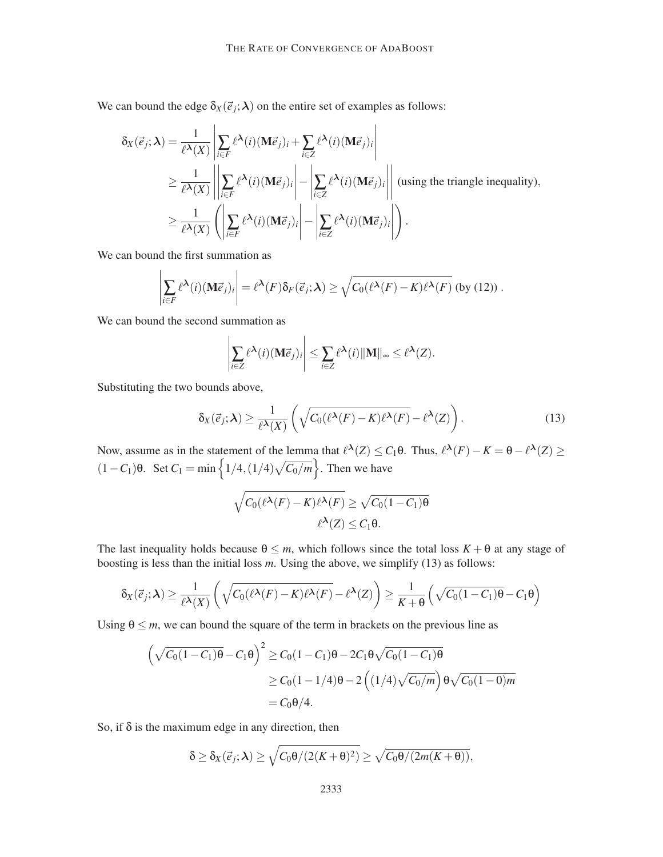We can bound the edge  $\delta_X(\vec{e}_j; \lambda)$  on the entire set of examples as follows:

$$
\delta_X(\vec{e}_j; \lambda) = \frac{1}{\ell^{\lambda}(X)} \left| \sum_{i \in F} \ell^{\lambda}(i) (\mathbf{M} \vec{e}_j)_i + \sum_{i \in Z} \ell^{\lambda}(i) (\mathbf{M} \vec{e}_j)_i \right|
$$
\n
$$
\geq \frac{1}{\ell^{\lambda}(X)} \left| \left| \sum_{i \in F} \ell^{\lambda}(i) (\mathbf{M} \vec{e}_j)_i \right| - \left| \sum_{i \in Z} \ell^{\lambda}(i) (\mathbf{M} \vec{e}_j)_i \right| \right| \text{ (using the triangle inequality)},
$$
\n
$$
\geq \frac{1}{\ell^{\lambda}(X)} \left( \left| \sum_{i \in F} \ell^{\lambda}(i) (\mathbf{M} \vec{e}_j)_i \right| - \left| \sum_{i \in Z} \ell^{\lambda}(i) (\mathbf{M} \vec{e}_j)_i \right| \right).
$$

We can bound the first summation as

$$
\left|\sum_{i\in F} \ell^{\lambda}(i) (\mathbf{M}\vec{e}_j)_i\right| = \ell^{\lambda}(F) \delta_F(\vec{e}_j; \lambda) \ge \sqrt{C_0(\ell^{\lambda}(F) - K)\ell^{\lambda}(F)} \text{ (by (12)) }.
$$

We can bound the second summation as

$$
\left|\sum_{i\in Z} \ell^{\lambda}(i) (\mathbf{M}\vec{e}_j)_i\right| \leq \sum_{i\in Z} \ell^{\lambda}(i) \|\mathbf{M}\|_{\infty} \leq \ell^{\lambda}(Z).
$$

Substituting the two bounds above,

$$
\delta_X(\vec{e}_j; \lambda) \ge \frac{1}{\ell^{\lambda}(X)} \left( \sqrt{C_0(\ell^{\lambda}(F) - K)\ell^{\lambda}(F)} - \ell^{\lambda}(Z) \right). \tag{13}
$$

Now, assume as in the statement of the lemma that  $\ell^{\lambda}(Z)$  ≤ *C*<sub>1</sub>θ. Thus,  $\ell^{\lambda}(F) - K = θ - \ell^{\lambda}(Z)$  ≥  $(1 - C_1)$ θ. Set  $C_1 = \min \left\{ \frac{1}{4}, \frac{1}{4} \sqrt{C_0/m} \right\}$ . Then we have

$$
\sqrt{C_0(\ell^{\lambda}(F) - K)\ell^{\lambda}(F)} \ge \sqrt{C_0(1 - C_1)\theta}
$$
  

$$
\ell^{\lambda}(Z) \le C_1\theta.
$$

The last inequality holds because  $\theta \leq m$ , which follows since the total loss  $K + \theta$  at any stage of boosting is less than the initial loss *m*. Using the above, we simplify (13) as follows:

$$
\delta_X(\vec{e}_j; \lambda) \geq \frac{1}{\ell^{\lambda}(X)} \left( \sqrt{C_0(\ell^{\lambda}(F) - K)\ell^{\lambda}(F)} - \ell^{\lambda}(Z) \right) \geq \frac{1}{K + \theta} \left( \sqrt{C_0(1 - C_1)\theta} - C_1\theta \right)
$$

Using  $\theta \leq m$ , we can bound the square of the term in brackets on the previous line as

$$
\left(\sqrt{C_0(1-C_1)\theta} - C_1\theta\right)^2 \ge C_0(1-C_1)\theta - 2C_1\theta\sqrt{C_0(1-C_1)\theta}
$$
  
 
$$
\ge C_0(1-1/4)\theta - 2\left((1/4)\sqrt{C_0/m}\right)\theta\sqrt{C_0(1-0)m}
$$
  
=  $C_0\theta/4$ .

So, if  $\delta$  is the maximum edge in any direction, then

$$
\delta \geq \delta_X(\vec{e}_j; \lambda) \geq \sqrt{C_0 \theta / (2(K+\theta)^2)} \geq \sqrt{C_0 \theta / (2m(K+\theta))},
$$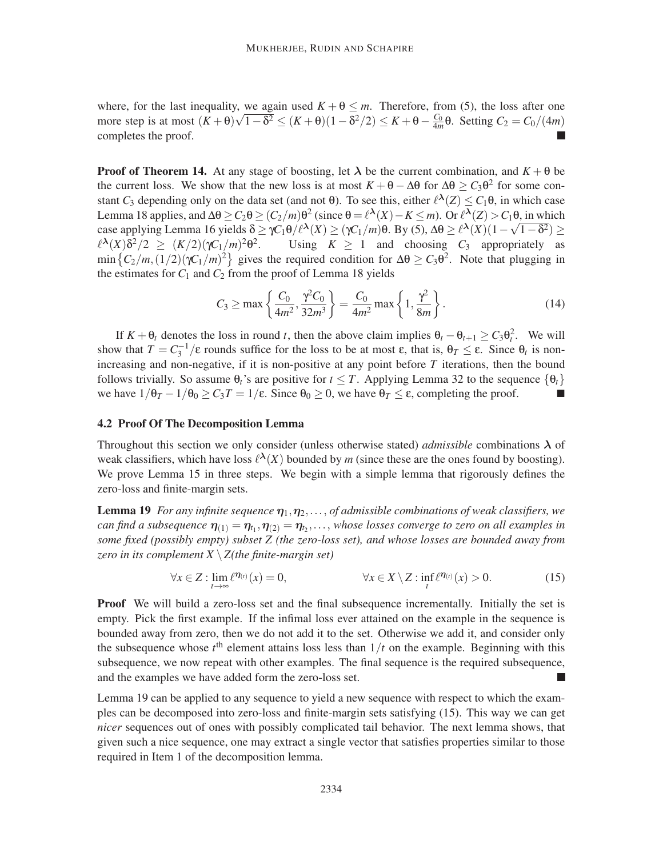where, for the last inequality, we again used  $K + \theta \leq m$ . Therefore, from (5), the loss after one more step is at most  $(K + \theta)\sqrt{1-\delta^2} \leq (K + \theta)(1-\delta^2/2) \leq K + \theta - \frac{C_0}{4m}\theta$ . Setting  $C_2 = C_0/(4m)$ completes the proof.

**Proof of Theorem 14.** At any stage of boosting, let  $\lambda$  be the current combination, and  $K + \theta$  be the current loss. We show that the new loss is at most  $K + \theta - \Delta\theta$  for  $\Delta\theta \ge C_3 \theta^2$  for some constant  $C_3$  depending only on the data set (and not  $\theta$ ). To see this, either  $\ell^{\lambda}(Z) \leq C_1 \theta$ , in which case Lemma 18 applies, and Δθ ≥  $C_2$ θ ≥  $(C_2/m)$ θ<sup>2</sup> (since θ =  $\ell^{\lambda}(X) - K \le m$ ). Or  $\ell^{\lambda}(Z) > C_1$ θ, in which case applying Lemma 16 yields  $\delta \ge \gamma C_1 \theta / \ell^{\lambda}(X) \ge (\gamma C_1 / m) \theta$ . By (5),  $\Delta \theta \ge \ell^{\lambda}(X) (1 - \sqrt{1 - \delta^2}) \ge$  $\ell^{\lambda}(X)$ δ<sup>2</sup>/2 ≥ (K/2)(γC<sub>1</sub>/m)<sup>2</sup>θ<sup>2</sup> Using  $K \geq 1$  and choosing  $C_3$  appropriately as  $\min\left\{C_2/m, (1/2)(\gamma C_1/m)^2\right\}$  gives the required condition for  $\Delta\theta \ge C_3\theta^2$ . Note that plugging in the estimates for  $C_1$  and  $C_2$  from the proof of Lemma 18 yields

$$
C_3 \ge \max\left\{\frac{C_0}{4m^2}, \frac{\gamma^2 C_0}{32m^3}\right\} = \frac{C_0}{4m^2} \max\left\{1, \frac{\gamma^2}{8m}\right\}.
$$
 (14)

If  $K + \theta_t$  denotes the loss in round *t*, then the above claim implies  $\theta_t - \theta_{t+1} \ge C_3 \theta_t^2$ . We will show that  $T = C_3^{-1}/\varepsilon$  rounds suffice for the loss to be at most  $\varepsilon$ , that is,  $\theta_T \leq \varepsilon$ . Since  $\theta_t$  is nonincreasing and non-negative, if it is non-positive at any point before *T* iterations, then the bound follows trivially. So assume  $\theta_t$ 's are positive for  $t \leq T$ . Applying Lemma 32 to the sequence  $\{\theta_t\}$  we have  $1/\theta_T - 1/\theta_0 > C_3T = 1/\epsilon$ . Since  $\theta_0 > 0$ , we have  $\theta_T < \epsilon$ , completing the proof. we have  $1/\theta_T - 1/\theta_0 \ge C_3T = 1/\epsilon$ . Since  $\theta_0 \ge 0$ , we have  $\theta_T \le \epsilon$ , completing the proof.

#### 4.2 Proof Of The Decomposition Lemma

Throughout this section we only consider (unless otherwise stated) *admissible* combinations  $\lambda$  of weak classifiers, which have loss  $\ell^{\lambda}(X)$  bounded by *m* (since these are the ones found by boosting). We prove Lemma 15 in three steps. We begin with a simple lemma that rigorously defines the zero-loss and finite-margin sets.

**Lemma 19** *For any infinite sequence*  $\eta_1, \eta_2, \ldots,$  *of admissible combinations of weak classifiers, we*  $can$  find a subsequence  $\eta_{(1)} = \eta_{t_1}, \eta_{(2)} = \eta_{t_2}, \dots$ , whose losses converge to zero on all examples in *some fixed (possibly empty) subset Z (the zero-loss set), and whose losses are bounded away from zero in its complement X* \*Z(the finite-margin set)*

$$
\forall x \in Z : \lim_{t \to \infty} \ell^{\eta_{(t)}}(x) = 0, \qquad \forall x \in X \setminus Z : \inf_{t} \ell^{\eta_{(t)}}(x) > 0. \tag{15}
$$

**Proof** We will build a zero-loss set and the final subsequence incrementally. Initially the set is empty. Pick the first example. If the infimal loss ever attained on the example in the sequence is bounded away from zero, then we do not add it to the set. Otherwise we add it, and consider only the subsequence whose  $t<sup>th</sup>$  element attains loss less than  $1/t$  on the example. Beginning with this subsequence, we now repeat with other examples. The final sequence is the required subsequence, and the examples we have added form the zero-loss set.

Lemma 19 can be applied to any sequence to yield a new sequence with respect to which the examples can be decomposed into zero-loss and finite-margin sets satisfying (15). This way we can get *nicer* sequences out of ones with possibly complicated tail behavior. The next lemma shows, that given such a nice sequence, one may extract a single vector that satisfies properties similar to those required in Item 1 of the decomposition lemma.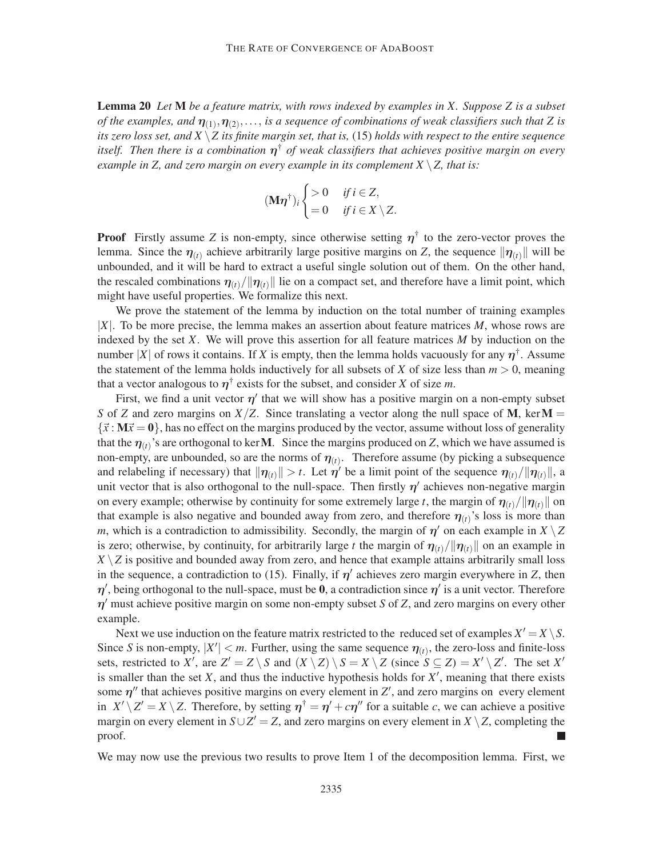Lemma 20 *Let* M *be a feature matrix, with rows indexed by examples in X. Suppose Z is a subset* of the examples, and  $\eta_{(1)}, \eta_{(2)}, \ldots$ , is a sequence of combinations of weak classifiers such that Z is *its zero loss set, and X* \*Z its finite margin set, that is,* (15) *holds with respect to the entire sequence itself. Then there is a combination* η † *of weak classifiers that achieves positive margin on every example in Z, and zero margin on every example in its complement*  $X \setminus Z$ *, that is:* 

$$
(\mathbf{M}\boldsymbol{\eta}^{\dagger})_i \begin{cases} > 0 & \text{if } i \in \mathbb{Z}, \\ = 0 & \text{if } i \in \mathbb{X} \setminus \mathbb{Z}. \end{cases}
$$

**Proof** Firstly assume Z is non-empty, since otherwise setting  $\eta^{\dagger}$  to the zero-vector proves the lemma. Since the  $\eta_{(t)}$  achieve arbitrarily large positive margins on *Z*, the sequence  $\|\eta_{(t)}\|$  will be unbounded, and it will be hard to extract a useful single solution out of them. On the other hand, the rescaled combinations  $\eta_{(t)}/\|\eta_{(t)}\|$  lie on a compact set, and therefore have a limit point, which might have useful properties. We formalize this next.

We prove the statement of the lemma by induction on the total number of training examples |*X*|. To be more precise, the lemma makes an assertion about feature matrices *M*, whose rows are indexed by the set *X*. We will prove this assertion for all feature matrices *M* by induction on the number |*X*| of rows it contains. If *X* is empty, then the lemma holds vacuously for any  $\eta^{\dagger}$ . Assume the statement of the lemma holds inductively for all subsets of *X* of size less than  $m > 0$ , meaning that a vector analogous to  $\eta^{\dagger}$  exists for the subset, and consider *X* of size *m*.

First, we find a unit vector  $\eta'$  that we will show has a positive margin on a non-empty subset *S* of *Z* and zero margins on  $X/Z$ . Since translating a vector along the null space of **M**, ker **M** =  $\{\vec{x} : \mathbf{M}\vec{x} = \mathbf{0}\}$ , has no effect on the margins produced by the vector, assume without loss of generality that the  $\eta_{(t)}$ 's are orthogonal to kerM. Since the margins produced on *Z*, which we have assumed is non-empty, are unbounded, so are the norms of  $\eta_{(t)}$ . Therefore assume (by picking a subsequence and relabeling if necessary) that  $\|\eta(t)\| > t$ . Let  $\eta'$  be a limit point of the sequence  $\eta(t)/\|\eta(t)\|$ , a unit vector that is also orthogonal to the null-space. Then firstly  $\eta'$  achieves non-negative margin on every example; otherwise by continuity for some extremely large *t*, the margin of  $\eta_{(t)}/||\eta_{(t)}||$  on that example is also negative and bounded away from zero, and therefore  $\eta_{(t)}$ 's loss is more than *m*, which is a contradiction to admissibility. Secondly, the margin of  $\eta'$  on each example in  $X \setminus Z$ is zero; otherwise, by continuity, for arbitrarily large *t* the margin of  $\eta_{(t)}/\|\eta_{(t)}\|$  on an example in  $X \setminus Z$  is positive and bounded away from zero, and hence that example attains arbitrarily small loss in the sequence, a contradiction to (15). Finally, if  $\eta'$  achieves zero margin everywhere in *Z*, then  $\eta'$ , being orthogonal to the null-space, must be 0, a contradiction since  $\eta'$  is a unit vector. Therefore η ′ must achieve positive margin on some non-empty subset *S* of *Z*, and zero margins on every other example.

Next we use induction on the feature matrix restricted to the reduced set of examples  $X' = X \setminus S$ . Since *S* is non-empty,  $|X'| < m$ . Further, using the same sequence  $\eta_{(t)}$ , the zero-loss and finite-loss sets, restricted to *X'*, are  $Z' = Z \setminus S$  and  $(X \setminus Z) \setminus S = X \setminus Z$  (since  $S \subseteq Z$ ) =  $X' \setminus Z'$ . The set *X'* is smaller than the set  $X$ , and thus the inductive hypothesis holds for  $X'$ , meaning that there exists some  $\eta''$  that achieves positive margins on every element in  $Z'$ , and zero margins on every element in  $X' \setminus Z' = X \setminus Z$ . Therefore, by setting  $\eta^{\dagger} = \eta' + c\eta''$  for a suitable *c*, we can achieve a positive margin on every element in  $S \cup Z' = Z$ , and zero margins on every element in  $X \setminus Z$ , completing the proof.

We may now use the previous two results to prove Item 1 of the decomposition lemma. First, we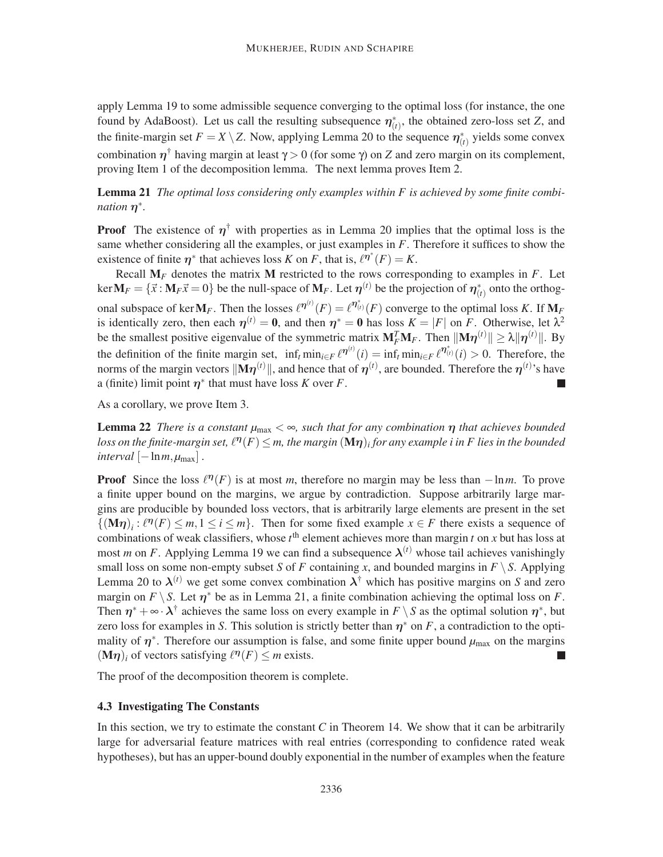apply Lemma 19 to some admissible sequence converging to the optimal loss (for instance, the one found by AdaBoost). Let us call the resulting subsequence  $\eta^*_{(t)}$ , the obtained zero-loss set *Z*, and the finite-margin set  $F = X \setminus Z$ . Now, applying Lemma 20 to the sequence  $\eta_{(t)}^*$  yields some convex combination  $η<sup>†</sup>$  having margin at least  $γ > 0$  (for some γ) on *Z* and zero margin on its complement, proving Item 1 of the decomposition lemma. The next lemma proves Item 2.

## Lemma 21 The optimal loss considering only examples within F is achieved by some finite combi*nation*  $\eta^*$ .

**Proof** The existence of  $\eta^{\dagger}$  with properties as in Lemma 20 implies that the optimal loss is the same whether considering all the examples, or just examples in *F*. Therefore it suffices to show the existence of finite  $\eta^*$  that achieves loss *K* on *F*, that is,  $\ell^{\eta^*}(F) = K$ .

Recall  $M_F$  denotes the matrix M restricted to the rows corresponding to examples in  $F$ . Let  $\ker \mathbf{M}_F = \{ \vec{x} : \mathbf{M}_F \vec{x} = 0 \}$  be the null-space of  $\mathbf{M}_F$ . Let  $\boldsymbol{\eta}^{(t)}$  be the projection of  $\boldsymbol{\eta}^*_{(t)}$  onto the orthogonal subspace of ker $M_F$ . Then the losses  $\ell^{\eta^{(t)}}(F) = \ell^{\eta^*_{(t)}}(F)$  converge to the optimal loss *K*. If  $M_F$ is identically zero, then each  $\eta^{(t)} = 0$ , and then  $\eta^* = 0$  has loss  $K = |F|$  on *F*. Otherwise, let  $\lambda^2$ be the smallest positive eigenvalue of the symmetric matrix  $M_F^T M_F$ . Then  $||M\eta^{(t)}|| \ge \lambda ||\eta^{(t)}||$ . By the definition of the finite margin set,  $\inf_t \min_{i \in F} \ell^{\eta^{(t)}}(i) = \inf_t \min_{i \in F} \ell^{\eta^{*}_{(t)}}(i) > 0$ . Therefore, the norms of the margin vectors  $\|\mathbf{M}\boldsymbol{\eta}^{(t)}\|$ , and hence that of  $\boldsymbol{\eta}^{(t)}$ , are bounded. Therefore the  $\boldsymbol{\eta}^{(t)}$ 's have a (finite) limit point  $\eta^*$  that must have loss *K* over *F*. П

As a corollary, we prove Item 3.

**Lemma 22** *There is a constant*  $\mu_{max} < \infty$ *, such that for any combination*  $\eta$  *that achieves bounded* loss on the finite-margin set,  $\ell^{\bm{\eta}}(F) \leq$  m, the margin  $(\mathbf{M}\bm{\eta})_i$  for any example  $i$  in  $F$  lies in the bounded *interval*  $[-\ln m, \mu_{\text{max}}]$ .

**Proof** Since the loss  $\ell^{n}(F)$  is at most *m*, therefore no margin may be less than  $-\ln m$ . To prove a finite upper bound on the margins, we argue by contradiction. Suppose arbitrarily large margins are producible by bounded loss vectors, that is arbitrarily large elements are present in the set  $\{(M\eta)_i : \ell^{\eta}(F) \leq m, 1 \leq i \leq m\}$ . Then for some fixed example  $x \in F$  there exists a sequence of combinations of weak classifiers, whose  $t^{\text{th}}$  element achieves more than margin  $t$  on  $x$  but has loss at most *m* on *F*. Applying Lemma 19 we can find a subsequence  $\lambda^{(t)}$  whose tail achieves vanishingly small loss on some non-empty subset *S* of *F* containing *x*, and bounded margins in  $F \ S$ . Applying Lemma 20 to  $\lambda^{(t)}$  we get some convex combination  $\lambda^{\dagger}$  which has positive margins on *S* and zero margin on  $F \setminus S$ . Let  $\eta^*$  be as in Lemma 21, a finite combination achieving the optimal loss on *F*. Then  $\eta^* + \infty \cdot \lambda^{\dagger}$  achieves the same loss on every example in  $F \setminus S$  as the optimal solution  $\eta^*$ , but zero loss for examples in *S*. This solution is strictly better than  $\eta^*$  on *F*, a contradiction to the optimality of  $\eta^*$ . Therefore our assumption is false, and some finite upper bound  $\mu_{\text{max}}$  on the margins  $(M\eta)_i$  of vectors satisfying  $\ell^{\eta}(F) \leq m$  exists.

The proof of the decomposition theorem is complete.

#### 4.3 Investigating The Constants

In this section, we try to estimate the constant  $C$  in Theorem 14. We show that it can be arbitrarily large for adversarial feature matrices with real entries (corresponding to confidence rated weak hypotheses), but has an upper-bound doubly exponential in the number of examples when the feature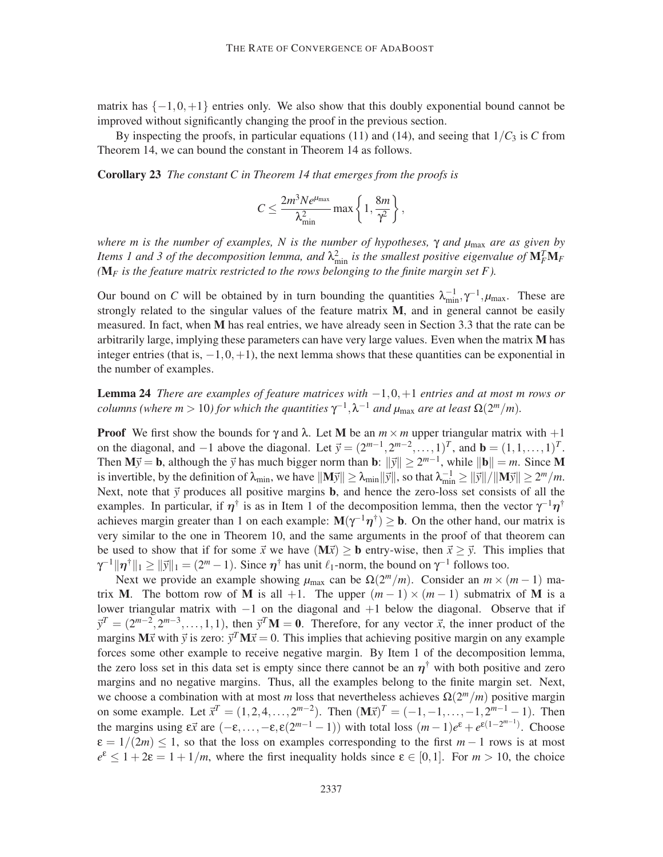matrix has  $\{-1,0,+1\}$  entries only. We also show that this doubly exponential bound cannot be improved without significantly changing the proof in the previous section.

By inspecting the proofs, in particular equations (11) and (14), and seeing that  $1/C_3$  is *C* from Theorem 14, we can bound the constant in Theorem 14 as follows.

Corollary 23 *The constant C in Theorem 14 that emerges from the proofs is*

$$
C \leq \frac{2m^3Ne^{\mu_{\max}}}{\lambda_{\min}^2} \max\left\{1,\frac{8m}{\gamma^2}\right\},\,
$$

*where m is the number of examples, N is the number of hypotheses,* γ *and µ*max *are as given by Items 1 and 3 of the decomposition lemma, and*  $\lambda_{\min}^2$  *is the smallest positive eigenvalue of*  $M_F^T M_F$ *(*M*<sup>F</sup> is the feature matrix restricted to the rows belonging to the finite margin set F ).*

Our bound on *C* will be obtained by in turn bounding the quantities  $\lambda_{\min}^{-1}$ ,  $\gamma^{-1}$ ,  $\mu_{\max}$ . These are strongly related to the singular values of the feature matrix  $M$ , and in general cannot be easily measured. In fact, when M has real entries, we have already seen in Section 3.3 that the rate can be arbitrarily large, implying these parameters can have very large values. Even when the matrix M has integer entries (that is,  $-1,0,+1$ ), the next lemma shows that these quantities can be exponential in the number of examples.

Lemma 24 *There are examples of feature matrices with* −1,0,+1 *entries and at most m rows or columns (where m* > 10) for which the quantities  $\gamma^{-1}, \lambda^{-1}$  and  $\mu_{\text{max}}$  are at least  $\Omega(2^m/m)$ .

**Proof** We first show the bounds for  $\gamma$  and  $\lambda$ . Let M be an  $m \times m$  upper triangular matrix with  $+1$ on the diagonal, and  $-1$  above the diagonal. Let  $\vec{y} = (2^{m-1}, 2^{m-2}, \dots, 1)^T$ , and  $\mathbf{b} = (1, 1, \dots, 1)^T$ . Then  $\mathbf{M} \vec{y} = \mathbf{b}$ , although the  $\vec{y}$  has much bigger norm than  $\mathbf{b}$ :  $\|\vec{y}\| \ge 2^{m-1}$ , while  $\|\mathbf{b}\| = m$ . Since M is invertible, by the definition of  $\lambda_{\min}$ , we have  $||M\vec{y}|| \ge \lambda_{\min} ||\vec{y}||$ , so that  $\lambda_{\min}^{-1} \ge ||\vec{y}|| / ||M\vec{y}|| \ge 2^m/m$ . Next, note that  $\vec{y}$  produces all positive margins **b**, and hence the zero-loss set consists of all the examples. In particular, if  $\eta^{\dagger}$  is as in Item 1 of the decomposition lemma, then the vector  $\gamma^{-1}\eta^{\dagger}$ achieves margin greater than 1 on each example:  $M(\gamma^{-1}\eta^{\dagger}) \ge b$ . On the other hand, our matrix is very similar to the one in Theorem 10, and the same arguments in the proof of that theorem can be used to show that if for some  $\vec{x}$  we have  $(M\vec{x}) > b$  entry-wise, then  $\vec{x} > \vec{y}$ . This implies that  $\gamma^{-1} \|\eta^{\dagger}\|_1 \geq \|\vec{y}\|_1 = (2^m - 1)$ . Since  $\eta^{\dagger}$  has unit  $\ell_1$ -norm, the bound on  $\gamma^{-1}$  follows too.

Next we provide an example showing  $\mu_{\text{max}}$  can be  $\Omega(2^m/m)$ . Consider an  $m \times (m-1)$  matrix M. The bottom row of M is all +1. The upper  $(m-1) \times (m-1)$  submatrix of M is a lower triangular matrix with  $-1$  on the diagonal and  $+1$  below the diagonal. Observe that if  $\vec{y}^T = (2^{m-2}, 2^{m-3}, \dots, 1, 1)$ , then  $\vec{y}^T \mathbf{M} = \mathbf{0}$ . Therefore, for any vector  $\vec{x}$ , the inner product of the margins  $M\vec{x}$  with  $\vec{y}$  is zero:  $\vec{y}^T M\vec{x} = 0$ . This implies that achieving positive margin on any example forces some other example to receive negative margin. By Item 1 of the decomposition lemma, the zero loss set in this data set is empty since there cannot be an  $\eta^{\dagger}$  with both positive and zero margins and no negative margins. Thus, all the examples belong to the finite margin set. Next, we choose a combination with at most *m* loss that nevertheless achieves  $\Omega(2^m/m)$  positive margin on some example. Let  $\vec{x}^T = (1, 2, 4, ..., 2^{m-2})$ . Then  $(\mathbf{M}\vec{x})^T = (-1, -1, ..., -1, 2^{m-1} - 1)$ . Then the margins using  $\epsilon \vec{x}$  are  $(-\epsilon, \ldots, -\epsilon, \epsilon(2^{m-1}-1))$  with total loss  $(m-1)e^{\epsilon} + e^{\epsilon(1-2^{m-1})}$ . Choose  $\varepsilon = 1/(2m) \le 1$ , so that the loss on examples corresponding to the first  $m-1$  rows is at most  $e^{\varepsilon} \leq 1 + 2\varepsilon = 1 + 1/m$ , where the first inequality holds since  $\varepsilon \in [0,1]$ . For  $m > 10$ , the choice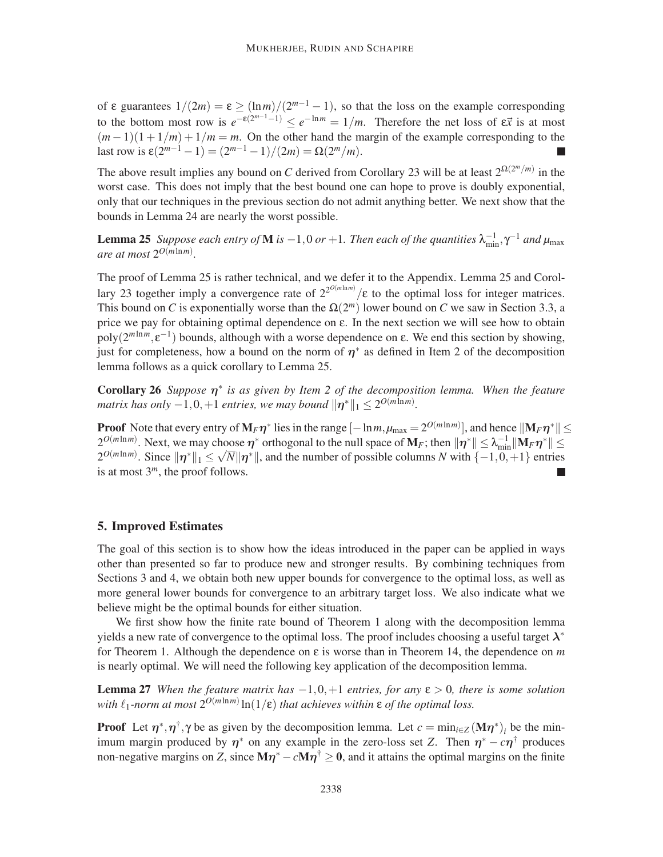of  $\varepsilon$  guarantees  $1/(2m) = \varepsilon \ge (\ln m)/(2^{m-1} - 1)$ , so that the loss on the example corresponding to the bottom most row is  $e^{-\varepsilon(2^{m-1}-1)} \le e^{-\ln m} = 1/m$ . Therefore the net loss of  $\varepsilon \vec{x}$  is at most  $(m-1)(1+1/m) + 1/m = m$ . On the other hand the margin of the example corresponding to the last row is  $\varepsilon(2^{m-1} - 1) = (2^{m-1} - 1)/(2m) = \Omega(2^m/m)$ .

The above result implies any bound on *C* derived from Corollary 23 will be at least  $2^{\Omega(2^m/m)}$  in the worst case. This does not imply that the best bound one can hope to prove is doubly exponential, only that our techniques in the previous section do not admit anything better. We next show that the bounds in Lemma 24 are nearly the worst possible.

**Lemma 25** *Suppose each entry of* **M** *is*  $-1,0$  *or*  $+1$ *. Then each of the quantities*  $\lambda_{\min}^{-1}, \gamma^{-1}$  *and*  $\mu_{\max}$ *are at most* 2 *O*(*m*ln*m*) *.*

The proof of Lemma 25 is rather technical, and we defer it to the Appendix. Lemma 25 and Corollary 23 together imply a convergence rate of  $2^{2^{O(m \ln m)}}$ /ε to the optimal loss for integer matrices. This bound on *C* is exponentially worse than the  $\Omega(2^m)$  lower bound on *C* we saw in Section 3.3, a price we pay for obtaining optimal dependence on ε. In the next section we will see how to obtain  $poly(2^{m \ln m}, \varepsilon^{-1})$  bounds, although with a worse dependence on  $\varepsilon$ . We end this section by showing, just for completeness, how a bound on the norm of  $\eta^*$  as defined in Item 2 of the decomposition lemma follows as a quick corollary to Lemma 25.

Corollary 26 *Suppose* η ∗ *is as given by Item 2 of the decomposition lemma. When the feature matrix has only*  $-1, 0, +1$  *entries, we may bound*  $||\boldsymbol{\eta}^*||_1 \leq 2^{O(m \ln m)}$ .

**Proof** Note that every entry of  $M_F \eta^*$  lies in the range  $[-\ln m, \mu_{\text{max}} = 2^{O(m \ln m)}]$ , and hence  $\|M_F \eta^*\| \le$  $2^{O(m\ln m)}$ . Next, we may choose  $\eta^*$  orthogonal to the null space of  $\mathbf{M}_F$ ; then  $\|\eta^*\| \leq \lambda_{\min}^{-1} \|\mathbf{M}_F \eta^*\| \leq$  $2^{O(m \ln m)}$ . Since  $\|\eta^*\|_1 \le \sqrt{N} \|\eta^*\|$ , and the number of possible columns *N* with  $\{-1, 0, +1\}$  entries is at most  $3^m$ , the proof follows.

#### 5. Improved Estimates

The goal of this section is to show how the ideas introduced in the paper can be applied in ways other than presented so far to produce new and stronger results. By combining techniques from Sections 3 and 4, we obtain both new upper bounds for convergence to the optimal loss, as well as more general lower bounds for convergence to an arbitrary target loss. We also indicate what we believe might be the optimal bounds for either situation.

We first show how the finite rate bound of Theorem 1 along with the decomposition lemma yields a new rate of convergence to the optimal loss. The proof includes choosing a useful target  $\lambda^*$ for Theorem 1. Although the dependence on  $\varepsilon$  is worse than in Theorem 14, the dependence on *m* is nearly optimal. We will need the following key application of the decomposition lemma.

**Lemma 27** *When the feature matrix has*  $-1, 0, +1$  *entries, for any*  $\varepsilon > 0$ *, there is some solution* with  $\ell_1$ -norm at most  $2^{O(m \ln m)} \ln(1/\varepsilon)$  that achieves within  $\varepsilon$  of the optimal loss.

**Proof** Let  $\eta^*, \eta^{\dagger}, \gamma$  be as given by the decomposition lemma. Let  $c = \min_{i \in \mathbb{Z}} (\mathbf{M} \eta^*)_i$  be the minimum margin produced by  $\eta^*$  on any example in the zero-loss set *Z*. Then  $\eta^* - c\eta^{\dagger}$  produces non-negative margins on *Z*, since  $M\eta^* - cM\eta^{\dagger} \ge 0$ , and it attains the optimal margins on the finite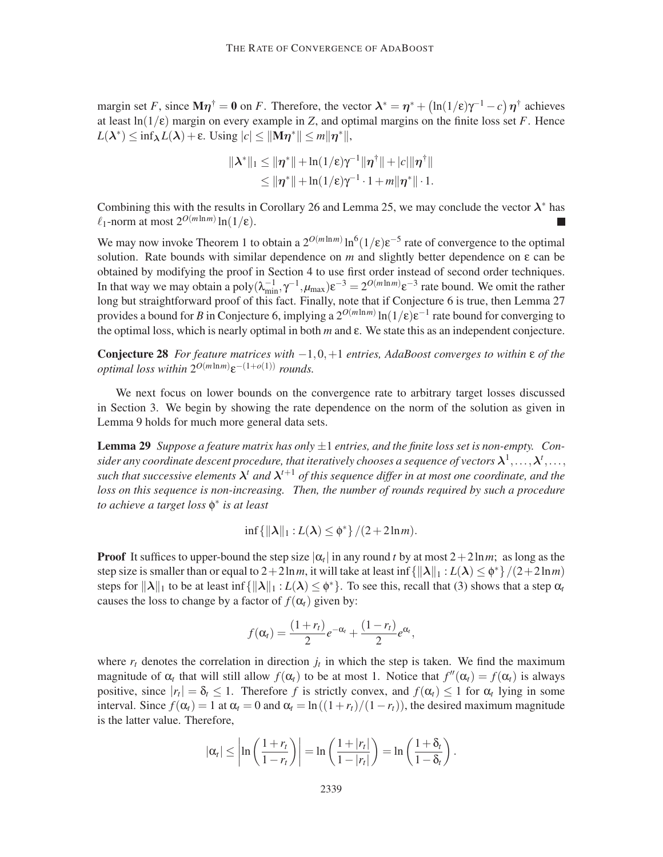margin set *F*, since  $M\eta^{\dagger} = 0$  on *F*. Therefore, the vector  $\lambda^* = \eta^* + (\ln(1/\epsilon)\gamma^{-1} - c)\eta^{\dagger}$  achieves at least  $ln(1/\epsilon)$  margin on every example in *Z*, and optimal margins on the finite loss set *F*. Hence  $L(\lambda^*) \le \inf_{\lambda} L(\lambda) + \varepsilon$ . Using  $|c| \le ||\mathbf{M}\boldsymbol{\eta}^*|| \le m||\boldsymbol{\eta}^*||$ ,

$$
\|\boldsymbol{\lambda}^*\|_1 \leq \|\boldsymbol{\eta}^*\| + \ln(1/\epsilon)\gamma^{-1}\|\boldsymbol{\eta}^\dagger\| + |c|\|\boldsymbol{\eta}^\dagger\|
$$
  

$$
\leq \|\boldsymbol{\eta}^*\| + \ln(1/\epsilon)\gamma^{-1} \cdot 1 + m\|\boldsymbol{\eta}^*\| \cdot 1.
$$

Combining this with the results in Corollary 26 and Lemma 25, we may conclude the vector  $\lambda^*$  has  $\ell_1$ -norm at most  $2^{O(m \ln m)} \ln(1/\epsilon)$ .

We may now invoke Theorem 1 to obtain a  $2^{O(m \ln m)} \ln^6(1/\epsilon) \epsilon^{-5}$  rate of convergence to the optimal solution. Rate bounds with similar dependence on *m* and slightly better dependence on ε can be obtained by modifying the proof in Section 4 to use first order instead of second order techniques. In that way we may obtain a poly $(\lambda_{\min}^{-1}, \gamma^{-1}, \mu_{\max}) \varepsilon^{-3} = 2^{O(m \ln m)} \varepsilon^{-3}$  rate bound. We omit the rather long but straightforward proof of this fact. Finally, note that if Conjecture 6 is true, then Lemma 27 provides a bound for *B* in Conjecture 6, implying a  $2^{O(m \ln m)} \ln(1/\epsilon) \epsilon^{-1}$  rate bound for converging to the optimal loss, which is nearly optimal in both *m* and ε. We state this as an independent conjecture.

Conjecture 28 *For feature matrices with* −1,0,+1 *entries, AdaBoost converges to within* ε *of the optimal loss within*  $2^{O(m \ln m)} \varepsilon^{-(1+o(1))}$  *rounds.* 

We next focus on lower bounds on the convergence rate to arbitrary target losses discussed in Section 3. We begin by showing the rate dependence on the norm of the solution as given in Lemma 9 holds for much more general data sets.

**Lemma 29** Suppose a feature matrix has only  $\pm 1$  entries, and the finite loss set is non-empty. Con $s$ ider any coordinate descent procedure, that iteratively chooses a sequence of vectors  $\lambda^1,\ldots,\lambda^t,\ldots,$ such that successive elements  $\lambda^t$  and  $\lambda^{t+1}$  of this sequence differ in at most one coordinate, and the *loss on this sequence is non-increasing. Then, the number of rounds required by such a procedure to achieve a target loss* φ ∗ *is at least*

$$
\inf\{\|\boldsymbol{\lambda}\|_1: L(\boldsymbol{\lambda})\leq \phi^*\}/(2+2\ln m).
$$

**Proof** It suffices to upper-bound the step size  $|\alpha_t|$  in any round *t* by at most  $2 + 2\ln m$ ; as long as the step size is smaller than or equal to  $2+2\ln m$ , it will take at least  $\inf \{||\lambda||_1 : L(\lambda) \leq \phi^* \}/(2+2\ln m)$ steps for  $\|\lambda\|_1$  to be at least inf  $\{\|\lambda\|_1 : L(\lambda) \leq \phi^*\}$ . To see this, recall that (3) shows that a step  $\alpha_t$ causes the loss to change by a factor of  $f(\alpha_t)$  given by:

$$
f(\alpha_t) = \frac{(1+r_t)}{2}e^{-\alpha_t} + \frac{(1-r_t)}{2}e^{\alpha_t},
$$

where  $r_t$  denotes the correlation in direction  $j_t$  in which the step is taken. We find the maximum magnitude of  $\alpha_t$  that will still allow  $f(\alpha_t)$  to be at most 1. Notice that  $f''(\alpha_t) = f(\alpha_t)$  is always positive, since  $|r_t| = \delta_t \le 1$ . Therefore *f* is strictly convex, and  $f(\alpha_t) \le 1$  for  $\alpha_t$  lying in some interval. Since  $f(\alpha_t) = 1$  at  $\alpha_t = 0$  and  $\alpha_t = \ln((1 + r_t)/(1 - r_t))$ , the desired maximum magnitude is the latter value. Therefore,

$$
|\alpha_t| \leq \left|\ln\left(\frac{1+r_t}{1-r_t}\right)\right| = \ln\left(\frac{1+|r_t|}{1-|r_t|}\right) = \ln\left(\frac{1+\delta_t}{1-\delta_t}\right).
$$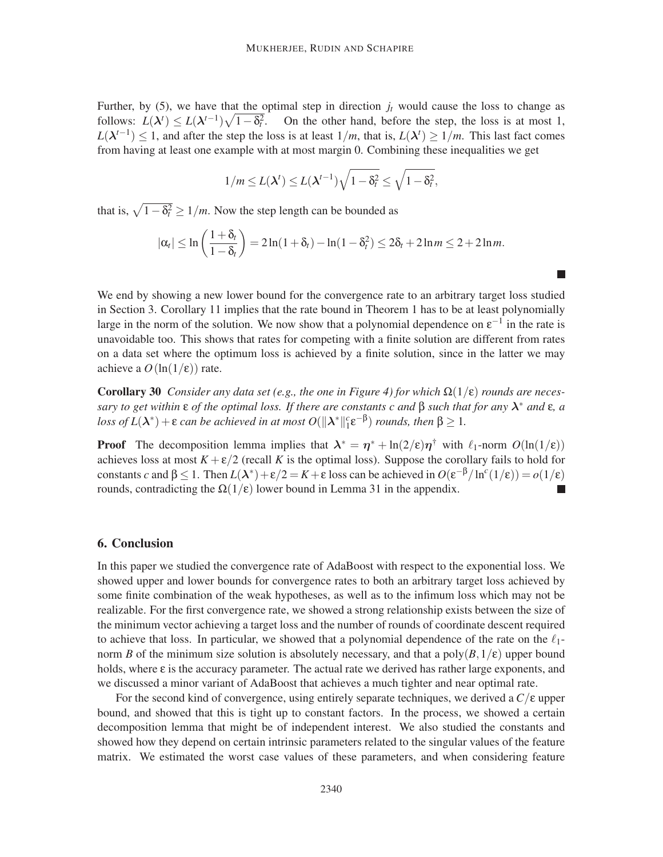Further, by  $(5)$ , we have that the optimal step in direction  $j_t$  would cause the loss to change as follows:  $L(\lambda^t) \le L(\lambda^{t-1})\sqrt{1-\delta_t^2}$ . On the other hand, before the step, the loss is at most 1, *L*( $\lambda$ <sup>*t*−1</sup>) ≤ 1, and after the step the loss is at least  $1/m$ , that is,  $L(\lambda^t) \ge 1/m$ . This last fact comes from having at least one example with at most margin 0. Combining these inequalities we get

$$
1/m \leq L(\boldsymbol{\lambda}^t) \leq L(\boldsymbol{\lambda}^{t-1})\sqrt{1-\delta_t^2} \leq \sqrt{1-\delta_t^2},
$$

that is,  $\sqrt{1-\delta_t^2} \ge 1/m$ . Now the step length can be bounded as

$$
|\alpha_t| \leq \ln\left(\frac{1+\delta_t}{1-\delta_t}\right) = 2\ln(1+\delta_t) - \ln(1-\delta_t^2) \leq 2\delta_t + 2\ln m \leq 2 + 2\ln m.
$$

We end by showing a new lower bound for the convergence rate to an arbitrary target loss studied in Section 3. Corollary 11 implies that the rate bound in Theorem 1 has to be at least polynomially large in the norm of the solution. We now show that a polynomial dependence on  $\varepsilon^{-1}$  in the rate is unavoidable too. This shows that rates for competing with a finite solution are different from rates on a data set where the optimum loss is achieved by a finite solution, since in the latter we may achieve a  $O(\ln(1/\epsilon))$  rate.

**Corollary 30** *Consider any data set (e.g., the one in Figure 4) for which*  $\Omega(1/\epsilon)$  *rounds are necessary to get within* ε *of the optimal loss. If there are constants c and* β *such that for any* λ ∗ *and* ε*, a loss of*  $L(\lambda^*) + \varepsilon$  *can be achieved in at most O*( $\|\lambda^*\|_1^c \varepsilon^{-\beta}$ ) *rounds, then*  $\beta \ge 1$ *.* 

**Proof** The decomposition lemma implies that  $\lambda^* = \eta^* + \ln(2/\varepsilon)\eta^{\dagger}$  with  $\ell_1$ -norm  $O(\ln(1/\varepsilon))$ achieves loss at most  $K + \varepsilon/2$  (recall *K* is the optimal loss). Suppose the corollary fails to hold for constants *c* and  $\beta \le 1$ . Then  $L(\lambda^*) + \varepsilon/2 = K + \varepsilon$  loss can be achieved in  $O(\varepsilon^{-\beta}/\ln^c(1/\varepsilon)) = o(1/\varepsilon)$ rounds, contradicting the  $\Omega(1/\epsilon)$  lower bound in Lemma 31 in the appendix.

## 6. Conclusion

In this paper we studied the convergence rate of AdaBoost with respect to the exponential loss. We showed upper and lower bounds for convergence rates to both an arbitrary target loss achieved by some finite combination of the weak hypotheses, as well as to the infimum loss which may not be realizable. For the first convergence rate, we showed a strong relationship exists between the size of the minimum vector achieving a target loss and the number of rounds of coordinate descent required to achieve that loss. In particular, we showed that a polynomial dependence of the rate on the  $\ell_1$ norm *B* of the minimum size solution is absolutely necessary, and that a poly $(B,1/\epsilon)$  upper bound holds, where ε is the accuracy parameter. The actual rate we derived has rather large exponents, and we discussed a minor variant of AdaBoost that achieves a much tighter and near optimal rate.

For the second kind of convergence, using entirely separate techniques, we derived a *C*/ε upper bound, and showed that this is tight up to constant factors. In the process, we showed a certain decomposition lemma that might be of independent interest. We also studied the constants and showed how they depend on certain intrinsic parameters related to the singular values of the feature matrix. We estimated the worst case values of these parameters, and when considering feature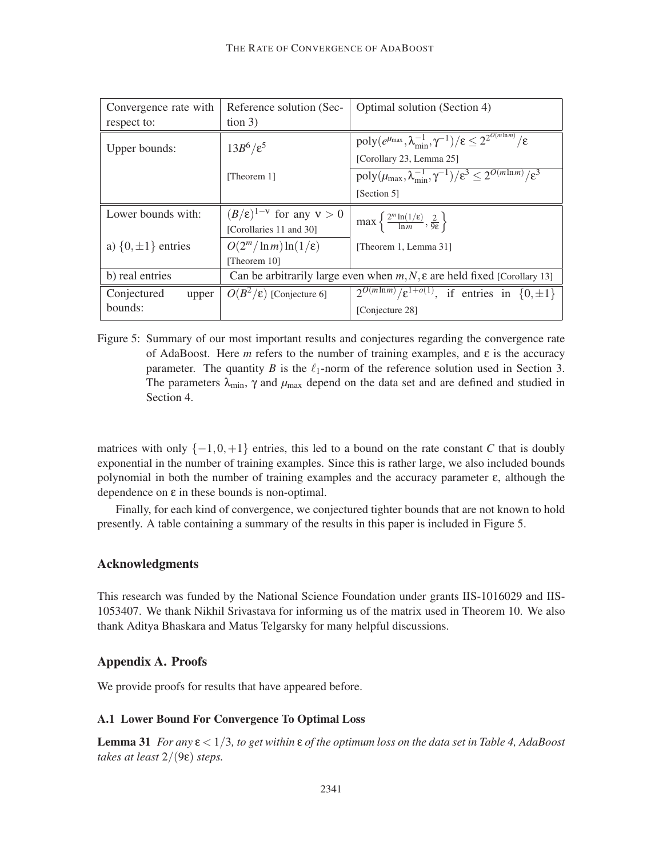| Convergence rate with     | Reference solution (Sec-                                                             | Optimal solution (Section 4)                                                                                 |  |  |
|---------------------------|--------------------------------------------------------------------------------------|--------------------------------------------------------------------------------------------------------------|--|--|
| respect to:               | tion 3)                                                                              |                                                                                                              |  |  |
| Upper bounds:             | $13B^6/\varepsilon^5$                                                                | $poly(e^{\mu_{\max}}, \lambda_{\min}^{-1}, \gamma^{-1})/\epsilon \leq 2^{\overline{2^{O(m\ln m)}}/\epsilon}$ |  |  |
|                           |                                                                                      | [Corollary 23, Lemma 25]                                                                                     |  |  |
|                           | [Theorem 1]                                                                          | poly $(\mu_{\max}, \lambda_{\min}^{-1}, \gamma^{-1})/\varepsilon^3 \leq 2^{O(m \ln m)}/\varepsilon^3$        |  |  |
|                           |                                                                                      | [Section 5]                                                                                                  |  |  |
| Lower bounds with:        | $(B/\varepsilon)^{1-\nu}$ for any $v > 0$                                            | $max\left\{\frac{2^m \ln(1/\epsilon)}{\ln m},\frac{2}{9\epsilon}\right\}$                                    |  |  |
|                           | [Corollaries 11 and 30]                                                              |                                                                                                              |  |  |
| a) $\{0, \pm 1\}$ entries | $O(2^m/\ln m)\ln(1/\epsilon)$                                                        | [Theorem 1, Lemma 31]                                                                                        |  |  |
|                           | [Theorem 10]                                                                         |                                                                                                              |  |  |
| b) real entries           | Can be arbitrarily large even when $m, N, \varepsilon$ are held fixed [Corollary 13] |                                                                                                              |  |  |
| Conjectured<br>upper      | $O(B^2/\epsilon)$ [Conjecture 6]                                                     | $2^{O(m \ln m)} / \varepsilon^{1+o(1)}$ , if entries in $\{0, \pm 1\}$                                       |  |  |
| bounds:                   |                                                                                      | [Conjecture 28]                                                                                              |  |  |

Figure 5: Summary of our most important results and conjectures regarding the convergence rate of AdaBoost. Here *m* refers to the number of training examples, and  $\varepsilon$  is the accuracy parameter. The quantity *B* is the  $\ell_1$ -norm of the reference solution used in Section 3. The parameters  $\lambda_{\text{min}}$ ,  $\gamma$  and  $\mu_{\text{max}}$  depend on the data set and are defined and studied in Section 4.

matrices with only  $\{-1, 0, +1\}$  entries, this led to a bound on the rate constant *C* that is doubly exponential in the number of training examples. Since this is rather large, we also included bounds polynomial in both the number of training examples and the accuracy parameter  $\varepsilon$ , although the dependence on  $\varepsilon$  in these bounds is non-optimal.

Finally, for each kind of convergence, we conjectured tighter bounds that are not known to hold presently. A table containing a summary of the results in this paper is included in Figure 5.

#### Acknowledgments

This research was funded by the National Science Foundation under grants IIS-1016029 and IIS-1053407. We thank Nikhil Srivastava for informing us of the matrix used in Theorem 10. We also thank Aditya Bhaskara and Matus Telgarsky for many helpful discussions.

### Appendix A. Proofs

We provide proofs for results that have appeared before.

### A.1 Lower Bound For Convergence To Optimal Loss

**Lemma 31** *For any*  $\epsilon < 1/3$ *, to get within*  $\epsilon$  *of the optimum loss on the data set in Table 4, AdaBoost takes at least* 2/(9ε) *steps.*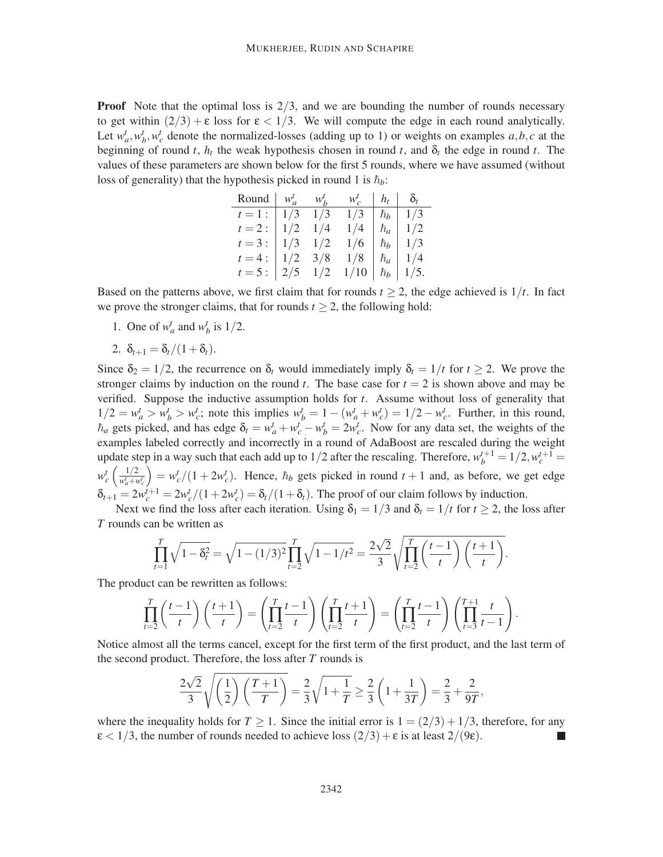**Proof** Note that the optimal loss is  $2/3$ , and we are bounding the number of rounds necessary to get within  $(2/3) + \epsilon$  loss for  $\epsilon < 1/3$ . We will compute the edge in each round analytically. Let  $w_a^t$ ,  $w_b^t$ ,  $w_c^t$  denote the normalized-losses (adding up to 1) or weights on examples  $a, b, c$  at the beginning of round *t*,  $h_t$  the weak hypothesis chosen in round *t*, and  $\delta_t$  the edge in round *t*. The values of these parameters are shown below for the first 5 rounds, where we have assumed (without loss of generality) that the hypothesis picked in round 1 is  $\hbar_b$ :

| Round $\vert w_a^t - w_b^t \vert$ |           |             | $W_c^l$            | $h_t \mid \delta_t$ |                  |
|-----------------------------------|-----------|-------------|--------------------|---------------------|------------------|
| $t=1:$   $1/3$                    |           | 1/3         | 1/3                |                     | $\hbar_b$   1/3  |
| $t=2$ :                           | $1/2$ 1/4 |             | 1/4                | $\hbar_a$           | 1/2              |
| $t = 3:$                          |           | $1/3$ $1/2$ | 1/6                | $ \hbar_b $         | 1/3              |
| $t = 4:$                          |           | $1/2$ 3/8   | 1/8                | $ \hbar_a$          | 1/4              |
| $t = 5:$                          |           |             | $2/5$ $1/2$ $1/10$ |                     | $\hbar_b$   1/5. |

Based on the patterns above, we first claim that for rounds  $t \ge 2$ , the edge achieved is  $1/t$ . In fact we prove the stronger claims, that for rounds  $t \geq 2$ , the following hold:

- 1. One of  $w_a^t$  and  $w_b^t$  is  $1/2$ .
- 2.  $\delta_{t+1} = \delta_t/(1+\delta_t)$ .

Since  $\delta_2 = 1/2$ , the recurrence on  $\delta_t$  would immediately imply  $\delta_t = 1/t$  for  $t \ge 2$ . We prove the stronger claims by induction on the round  $t$ . The base case for  $t = 2$  is shown above and may be verified. Suppose the inductive assumption holds for *t*. Assume without loss of generality that  $1/2 = w_a^t > w_b^t > w_c^t$ ; note this implies  $w_b^t = 1 - (w_a^t + w_c^t) = 1/2 - w_c^t$ . Further, in this round,  $\hbar_a$  gets picked, and has edge  $\delta_t = w_a^t + w_c^t - w_b^t = 2w_c^t$ . Now for any data set, the weights of the examples labeled correctly and incorrectly in a round of AdaBoost are rescaled during the weight update step in a way such that each add up to  $1/2$  after the rescaling. Therefore,  $w_b^{t+1} = 1/2, w_c^{t+1} = 1/2$  $w_c^t$   $\left(\frac{1/2}{w_a^t+v_a^t} \right)$  $w_a^t + w_c^t$  $= w_c^t/(1 + 2w_c^t)$ . Hence,  $\hbar_b$  gets picked in round  $t + 1$  and, as before, we get edge  $\delta_{t+1} = 2w_c^{t+1} = 2w_c^t/(1+2w_c^t) = \delta_t/(1+\delta_t)$ . The proof of our claim follows by induction.

Next we find the loss after each iteration. Using  $\delta_1 = 1/3$  and  $\delta_t = 1/t$  for  $t \ge 2$ , the loss after *T* rounds can be written as

$$
\prod_{t=1}^{T} \sqrt{1-\delta_t^2} = \sqrt{1-(1/3)^2} \prod_{t=2}^{T} \sqrt{1-1/t^2} = \frac{2\sqrt{2}}{3} \sqrt{\prod_{t=2}^{T} \left(\frac{t-1}{t}\right) \left(\frac{t+1}{t}\right)}.
$$

The product can be rewritten as follows:

$$
\prod_{t=2}^{T} \left(\frac{t-1}{t}\right) \left(\frac{t+1}{t}\right) = \left(\prod_{t=2}^{T} \frac{t-1}{t}\right) \left(\prod_{t=2}^{T} \frac{t+1}{t}\right) = \left(\prod_{t=2}^{T} \frac{t-1}{t}\right) \left(\prod_{t=3}^{T+1} \frac{t}{t-1}\right).
$$

Notice almost all the terms cancel, except for the first term of the first product, and the last term of the second product. Therefore, the loss after *T* rounds is

$$
\frac{2\sqrt{2}}{3}\sqrt{\left(\frac{1}{2}\right)\left(\frac{T+1}{T}\right)} = \frac{2}{3}\sqrt{1+\frac{1}{T}} \ge \frac{2}{3}\left(1+\frac{1}{3T}\right) = \frac{2}{3}+\frac{2}{9T},
$$

where the inequality holds for  $T \ge 1$ . Since the initial error is  $1 = (2/3) + 1/3$ , therefore, for any  $\epsilon < 1/3$ , the number of rounds needed to achieve loss  $(2/3) + \epsilon$  is at least  $2/(9\epsilon)$ .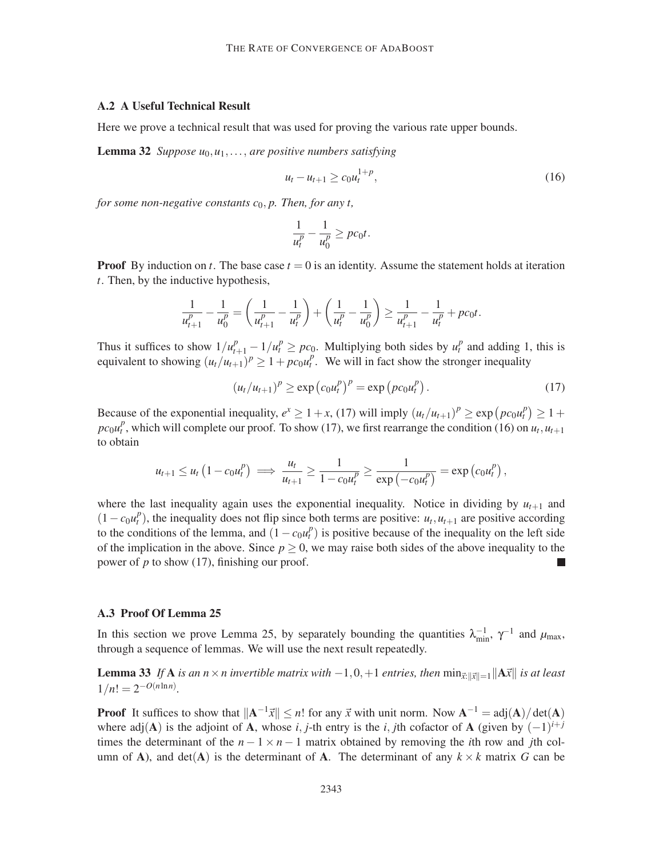#### A.2 A Useful Technical Result

Here we prove a technical result that was used for proving the various rate upper bounds.

Lemma 32 *Suppose u*0,*u*1,..., *are positive numbers satisfying*

$$
u_t - u_{t+1} \ge c_0 u_t^{1+p}, \tag{16}
$$

*for some non-negative constants*  $c_0$ *, p. Then, for any t,* 

$$
\frac{1}{u_t^p} - \frac{1}{u_0^p} \geq p c_0 t.
$$

**Proof** By induction on *t*. The base case  $t = 0$  is an identity. Assume the statement holds at iteration *t*. Then, by the inductive hypothesis,

$$
\frac{1}{u_{t+1}^p} - \frac{1}{u_0^p} = \left(\frac{1}{u_{t+1}^p} - \frac{1}{u_t^p}\right) + \left(\frac{1}{u_t^p} - \frac{1}{u_0^p}\right) \ge \frac{1}{u_{t+1}^p} - \frac{1}{u_t^p} + p\epsilon_0 t.
$$

Thus it suffices to show  $1/u_{t+1}^p - 1/u_t^p \geq pc_0$ . Multiplying both sides by  $u_t^p$  and adding 1, this is equivalent to showing  $(u_t/u_{t+1})^p \geq 1 + pc_0 u_t^p$ . We will in fact show the stronger inequality

$$
(u_t/u_{t+1})^p \ge \exp\left(c_0 u_t^p\right)^p = \exp\left(p c_0 u_t^p\right). \tag{17}
$$

Because of the exponential inequality,  $e^x \ge 1 + x$ , (17) will imply  $(u_t/u_{t+1})^p \ge \exp(p c_0 u_t^p) \ge 1 +$  $p c_0 u_t^p$ , which will complete our proof. To show (17), we first rearrange the condition (16) on  $u_t, u_{t+1}$ to obtain

$$
u_{t+1} \leq u_t \left(1 - c_0 u_t^p\right) \implies \frac{u_t}{u_{t+1}} \geq \frac{1}{1 - c_0 u_t^p} \geq \frac{1}{\exp\left(-c_0 u_t^p\right)} = \exp\left(c_0 u_t^p\right),
$$

where the last inequality again uses the exponential inequality. Notice in dividing by  $u_{t+1}$  and  $(1 - c_0 u_t^p)$ , the inequality does not flip since both terms are positive: *u<sub>t</sub>*, *u<sub>t+1</sub>* are positive according to the conditions of the lemma, and  $(1 - c_0 u_t^p)$  is positive because of the inequality on the left side of the implication in the above. Since  $p \ge 0$ , we may raise both sides of the above inequality to the power of *p* to show (17), finishing our proof.

#### A.3 Proof Of Lemma 25

In this section we prove Lemma 25, by separately bounding the quantities  $\lambda_{\min}^{-1}$ ,  $\gamma^{-1}$  and  $\mu_{\max}$ , through a sequence of lemmas. We will use the next result repeatedly.

**Lemma 33** If **A** is an  $n \times n$  invertible matrix with  $-1, 0, +1$  entries, then  $\min_{x:||x||=1}||Ax||$  is at least  $1/n! = 2^{-O(n \ln n)}$ .

**Proof** It suffices to show that  $||A^{-1}\vec{x}|| \le n!$  for any  $\vec{x}$  with unit norm. Now  $A^{-1} = adj(A)/\det(A)$ where adj(A) is the adjoint of A, whose *i*, *j*-th entry is the *i*, *j*th cofactor of A (given by  $(-1)^{i+j}$ times the determinant of the  $n - 1 \times n - 1$  matrix obtained by removing the *i*th row and *j*th column of A), and  $det(A)$  is the determinant of A. The determinant of any  $k \times k$  matrix G can be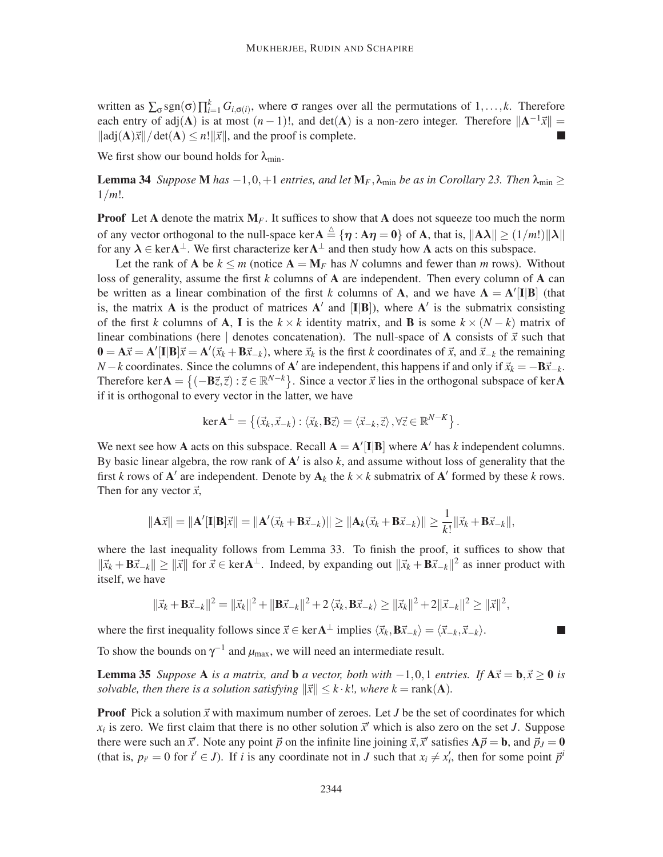written as  $\sum_{\sigma}$ sgn( $\sigma$ ) $\prod_{i=1}^{k} G_{i,\sigma(i)}$ , where  $\sigma$  ranges over all the permutations of 1,..., *k*. Therefore each entry of  $adj(A)$  is at most  $(n-1)!$ , and  $det(A)$  is a non-zero integer. Therefore  $||A^{-1}\vec{x}|| =$  $\|\operatorname{adj}(\mathbf{A})\vec{x}\|/\operatorname{det}(\mathbf{A}) \leq n! \|\vec{x}\|$ , and the proof is complete.

We first show our bound holds for  $\lambda_{\min}$ .

**Lemma 34** *Suppose* **M** *has*  $-1, 0, +1$  *entries, and let*  $M_F$ ,  $\lambda_{\min}$  *be as in Corollary 23. Then*  $\lambda_{\min} \ge$ 1/*m*!*.*

**Proof** Let A denote the matrix  $M_F$ . It suffices to show that A does not squeeze too much the norm of any vector orthogonal to the null-space ker  $A \triangleq {\eta : A\eta = 0}$  of A, that is,  $||A\lambda|| \ge (1/m!)||\lambda||$ for any  $\lambda \in \text{ker} A^{\perp}$ . We first characterize  $\text{ker} A^{\perp}$  and then study how A acts on this subspace.

Let the rank of **A** be  $k \le m$  (notice  $A = M_F$  has *N* columns and fewer than *m* rows). Without loss of generality, assume the first *k* columns of A are independent. Then every column of A can be written as a linear combination of the first *k* columns of **A**, and we have  $A = A'[I|B]$  (that is, the matrix **A** is the product of matrices  $A'$  and  $[I|B]$ ), where  $A'$  is the submatrix consisting of the first *k* columns of **A**, **I** is the  $k \times k$  identity matrix, and **B** is some  $k \times (N - k)$  matrix of linear combinations (here | denotes concatenation). The null-space of A consists of  $\vec{x}$  such that  $\mathbf{0} = \mathbf{A}\vec{x} = \mathbf{A}'[\mathbf{I}|\mathbf{B}]\vec{x} = \mathbf{A}'(\vec{x}_k + \mathbf{B}\vec{x}_{-k})$ , where  $\vec{x}_k$  is the first *k* coordinates of  $\vec{x}$ , and  $\vec{x}_{-k}$  the remaining *N* − *k* coordinates. Since the columns of **A**' are independent, this happens if and only if  $\vec{x}_k = -B\vec{x}_{-k}$ . Therefore ker  $A = \{(-B\vec{z}, \vec{z}) : \vec{z} \in \mathbb{R}^{N-k}\}\.$  Since a vector  $\vec{x}$  lies in the orthogonal subspace of ker A if it is orthogonal to every vector in the latter, we have

$$
\ker \mathbf{A}^{\perp} = \left\{ (\vec{x}_k, \vec{x}_{-k}) : \langle \vec{x}_k, \mathbf{B}\vec{z} \rangle = \langle \vec{x}_{-k}, \vec{z} \rangle, \forall \vec{z} \in \mathbb{R}^{N-K} \right\}.
$$

We next see how **A** acts on this subspace. Recall  $A = A'[I|B]$  where A' has *k* independent columns. By basic linear algebra, the row rank of A ′ is also *k*, and assume without loss of generality that the first *k* rows of  $\mathbf{A}'$  are independent. Denote by  $\mathbf{A}_k$  the  $k \times k$  submatrix of  $\mathbf{A}'$  formed by these *k* rows. Then for any vector  $\vec{x}$ ,

$$
\|\mathbf{A}\vec{x}\| = \|\mathbf{A}'[\mathbf{I}|\mathbf{B}]\vec{x}\| = \|\mathbf{A}'(\vec{x}_k + \mathbf{B}\vec{x}_{-k})\| \ge \|\mathbf{A}_k(\vec{x}_k + \mathbf{B}\vec{x}_{-k})\| \ge \frac{1}{k!} \|\vec{x}_k + \mathbf{B}\vec{x}_{-k}\|,
$$

where the last inequality follows from Lemma 33. To finish the proof, it suffices to show that  $\|\vec{x}_k + \mathbf{B}\vec{x}_{-k}\| \ge \|\vec{x}\|$  for  $\vec{x} \in \text{ker }A^{\perp}$ . Indeed, by expanding out  $\|\vec{x}_k + \mathbf{B}\vec{x}_{-k}\|^2$  as inner product with itself, we have

$$
\|\vec{x}_k + \mathbf{B}\vec{x}_{-k}\|^2 = \|\vec{x}_k\|^2 + \|\mathbf{B}\vec{x}_{-k}\|^2 + 2\langle \vec{x}_k, \mathbf{B}\vec{x}_{-k} \rangle \ge \|\vec{x}_k\|^2 + 2\|\vec{x}_{-k}\|^2 \ge \|\vec{x}\|^2,
$$

where the first inequality follows since  $\vec{x} \in \text{ker} \mathbf{A}^{\perp}$  implies  $\langle \vec{x}_k, \mathbf{B} \vec{x}_{-k} \rangle = \langle \vec{x}_{-k}, \vec{x}_{-k} \rangle$ .

To show the bounds on  $\gamma^{-1}$  and  $\mu_{\text{max}}$ , we will need an intermediate result.

**Lemma 35** *Suppose* A *is a matrix, and* **b** *a vector, both with*  $-1,0,1$  *entries. If*  $A\vec{x} = \mathbf{b}, \vec{x} \ge 0$  *is solvable, then there is a solution satisfying*  $\|\vec{x}\| \leq k \cdot k!$ *, where*  $k = \text{rank}(\mathbf{A})$ *.* 

**Proof** Pick a solution  $\vec{x}$  with maximum number of zeroes. Let *J* be the set of coordinates for which  $x_i$  is zero. We first claim that there is no other solution  $\vec{x}'$  which is also zero on the set *J*. Suppose there were such an  $\vec{x}'$ . Note any point  $\vec{p}$  on the infinite line joining  $\vec{x}, \vec{x}'$  satisfies  $A\vec{p} = \bf{b}$ , and  $\vec{p}_J = \bf{0}$ (that is,  $p_{i'} = 0$  for  $i' \in J$ ). If *i* is any coordinate not in *J* such that  $x_i \neq x'_i$ , then for some point  $\vec{p}^i$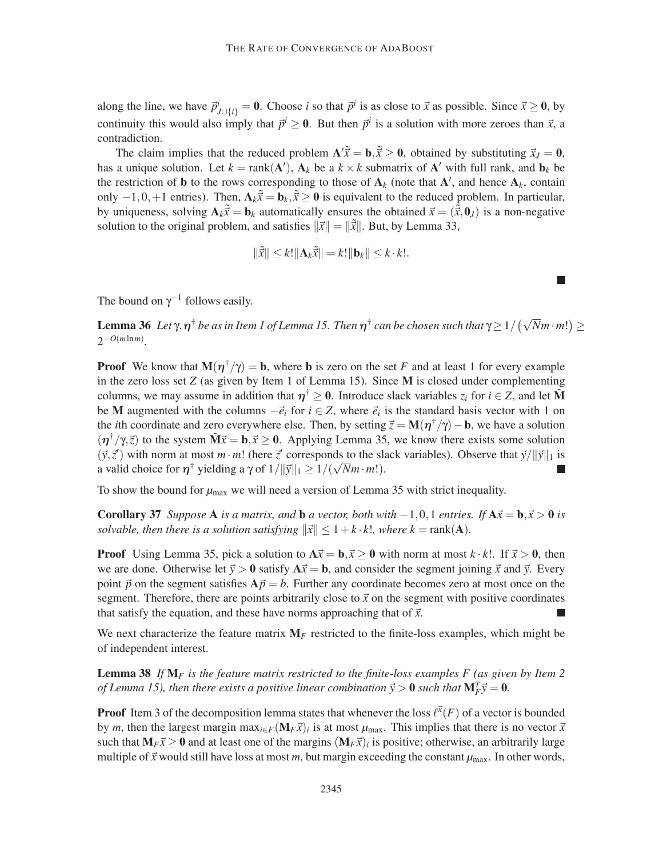along the line, we have  $\vec{p}_{J\cup\{i\}}^i = 0$ . Choose *i* so that  $\vec{p}^i$  is as close to  $\vec{x}$  as possible. Since  $\vec{x} \ge 0$ , by continuity this would also imply that  $\vec{p}^i \ge 0$ . But then  $\vec{p}^i$  is a solution with more zeroes than  $\vec{x}$ , a contradiction.

The claim implies that the reduced problem  $\mathbf{A}'\tilde{x} = \mathbf{b}, \tilde{x} \geq 0$ , obtained by substituting  $\vec{x}_J = 0$ , has a unique solution. Let  $k = \text{rank}(\mathbf{A}'), \mathbf{A}_k$  be a  $k \times k$  submatrix of  $\mathbf{A}'$  with full rank, and  $\mathbf{b}_k$  be the restriction of **b** to the rows corresponding to those of  $A_k$  (note that  $A'$ , and hence  $A_k$ , contain only −1,0,+1 entries). Then,  $\mathbf{A}_k \tilde{x} = \mathbf{b}_k$ ,  $\tilde{x} \geq 0$  is equivalent to the reduced problem. In particular, by uniqueness, solving  $A_k\tilde{x} = b_k$  automatically ensures the obtained  $\vec{x} = (\tilde{\vec{x}}, 0_J)$  is a non-negative solution to the original problem, and satisfies  $\|\vec{x}\| = \|\tilde{\vec{x}}\|$ . But, by Lemma 33,

$$
\|\tilde{\vec{x}}\| \le k! \|\mathbf{A}_k \tilde{\vec{x}}\| = k! \|\mathbf{b}_k\| \le k \cdot k!.
$$

The bound on  $\gamma^{-1}$  follows easily.

**Lemma 36** Let  $\gamma$ ,  $\eta^{\dagger}$  be as in Item 1 of Lemma 15. Then  $\eta^{\dagger}$  can be chosen such that  $\gamma \geq 1/(\sqrt{N}m \cdot m!) \geq$  $2^{-O(m \ln m)}$ .

**Proof** We know that  $M(\eta^{\dagger}/\gamma) = b$ , where **b** is zero on the set *F* and at least 1 for every example in the zero loss set *Z* (as given by Item 1 of Lemma 15). Since M is closed under complementing columns, we may assume in addition that  $\eta^{\dagger} \geq 0$ . Introduce slack variables  $z_i$  for  $i \in \mathbb{Z}$ , and let  $\tilde{M}$ be M augmented with the columns  $-\vec{e}_i$  for  $i \in \mathbb{Z}$ , where  $\vec{e}_i$  is the standard basis vector with 1 on the *i*th coordinate and zero everywhere else. Then, by setting  $\vec{z} = M(\eta^{\dagger}/\gamma) - b$ , we have a solution  $(\eta^{\dagger}/\gamma,\vec{z})$  to the system  $\tilde{M}\vec{x} = \mathbf{b}, \vec{x} \ge 0$ . Applying Lemma 35, we know there exists some solution  $(\vec{y}, \vec{z}')$  with norm at most *m* · *m*! (here  $\vec{z}'$  corresponds to the slack variables). Observe that  $\vec{y}/\|\vec{y}\|_1$  is a valid choice for  $\eta^{\dagger}$  yielding a  $\gamma$  of  $1/||\vec{y}||_1 \ge 1/(\sqrt{N}m \cdot m!)$ .

To show the bound for  $\mu_{\text{max}}$  we will need a version of Lemma 35 with strict inequality.

**Corollary 37** *Suppose* A *is a matrix, and* **b** *a* vector, both with  $-1,0,1$  *entries.* If  $A\vec{x} = \mathbf{b}, \vec{x} > 0$  *is solvable, then there is a solution satisfying*  $\|\vec{x}\| \leq 1 + k \cdot k!$ *, where k* = rank(A).

**Proof** Using Lemma 35, pick a solution to  $A\vec{x} = \mathbf{b}, \vec{x} \ge 0$  with norm at most  $k \cdot k!$ . If  $\vec{x} > 0$ , then we are done. Otherwise let  $\vec{y} > 0$  satisfy  $A\vec{x} = b$ , and consider the segment joining  $\vec{x}$  and  $\vec{y}$ . Every point  $\vec{p}$  on the segment satisfies  $A\vec{p} = b$ . Further any coordinate becomes zero at most once on the segment. Therefore, there are points arbitrarily close to  $\vec{x}$  on the segment with positive coordinates that satisfy the equation, and these have norms approaching that of  $\vec{x}$ .

We next characterize the feature matrix  $M_F$  restricted to the finite-loss examples, which might be of independent interest.

Lemma 38 *If* M*<sup>F</sup> is the feature matrix restricted to the finite-loss examples F (as given by Item 2 of Lemma 15), then there exists a positive linear combination*  $\vec{y} > 0$  *such that*  $M_F^T \vec{y} = 0$ *.* 

**Proof** Item 3 of the decomposition lemma states that whenever the loss  $\ell^{\vec{x}}(F)$  of a vector is bounded by *m*, then the largest margin  $\max_{i \in F} (\mathbf{M}_F \vec{x})_i$  is at most  $\mu_{\text{max}}$ . This implies that there is no vector  $\vec{x}$ such that  $M_F\vec{x} \ge 0$  and at least one of the margins  $(M_F\vec{x})_i$  is positive; otherwise, an arbitrarily large multiple of  $\vec{x}$  would still have loss at most *m*, but margin exceeding the constant  $\mu_{\text{max}}$ . In other words,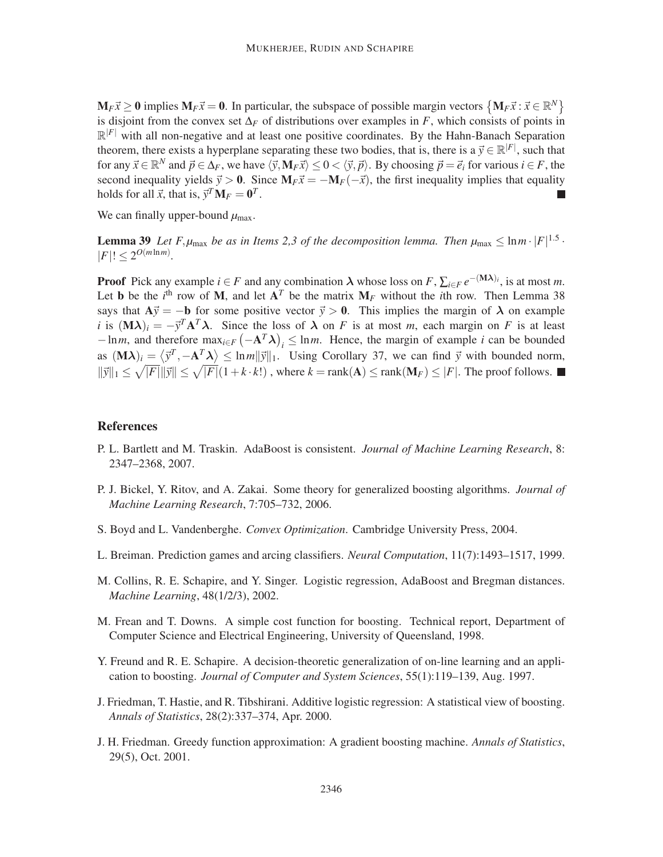$M_F\vec{x} \ge 0$  implies  $M_F\vec{x} = 0$ . In particular, the subspace of possible margin vectors  $\{M_F\vec{x} : \vec{x} \in \mathbb{R}^N\}$ is disjoint from the convex set  $\Delta_F$  of distributions over examples in *F*, which consists of points in  $\mathbb{R}^{|F|}$  with all non-negative and at least one positive coordinates. By the Hahn-Banach Separation theorem, there exists a hyperplane separating these two bodies, that is, there is a  $\vec{y} \in \mathbb{R}^{|F|}$ , such that for any  $\vec{x} \in \mathbb{R}^N$  and  $\vec{p} \in \Delta_F$ , we have  $\langle \vec{y}, M_F \vec{x} \rangle \le 0 < \langle \vec{y}, \vec{p} \rangle$ . By choosing  $\vec{p} = \vec{e}_i$  for various  $i \in F$ , the second inequality yields  $\vec{y} > 0$ . Since  $M_F \vec{x} = -M_F(-\vec{x})$ , the first inequality implies that equality holds for all  $\vec{x}$ , that is,  $\vec{y}^T \mathbf{M}_F = \mathbf{0}^T$ .

We can finally upper-bound  $\mu_{\text{max}}$ .

**Lemma 39** Let F,  $\mu_{\text{max}}$  be as in Items 2,3 of the decomposition lemma. Then  $\mu_{\text{max}} \leq \ln m \cdot |F|^{1.5}$ .  $|F|! \leq 2^{O(m \ln m)}$ .

**Proof** Pick any example  $i \in F$  and any combination  $\lambda$  whose loss on  $F$ ,  $\sum_{i \in F} e^{-(\mathbf{M}\lambda)i}$ , is at most *m*. Let **b** be the *i*<sup>th</sup> row of **M**, and let  $A<sup>T</sup>$  be the matrix  $M<sub>F</sub>$  without the *i*th row. Then Lemma 38 says that  $A\vec{y} = -b$  for some positive vector  $\vec{y} > 0$ . This implies the margin of  $\lambda$  on example *i* is  $(M\lambda)_i = -y^T A^T \lambda$ . Since the loss of  $\lambda$  on *F* is at most *m*, each margin on *F* is at least  $-\ln m$ , and therefore  $\max_{i \in F} \left(-\mathbf{A}^T \lambda\right)_i \leq \ln m$ . Hence, the margin of example *i* can be bounded as  $(M\lambda)_i = \langle \vec{y}^T, -A^T \lambda \rangle \leq \ln m ||\vec{y}||_1$ . Using Corollary 37, we can find  $\vec{y}$  with bounded norm,  $\|\vec{y}\|_1 \leq \sqrt{|F|} \|\vec{y}\| \leq \sqrt{|F|} (1 + k \cdot k!)$ , where  $k = \text{rank}(\mathbf{A}) \leq \text{rank}(\mathbf{M}_F) \leq |F|$ . The proof follows.

#### References

- P. L. Bartlett and M. Traskin. AdaBoost is consistent. *Journal of Machine Learning Research*, 8: 2347–2368, 2007.
- P. J. Bickel, Y. Ritov, and A. Zakai. Some theory for generalized boosting algorithms. *Journal of Machine Learning Research*, 7:705–732, 2006.
- S. Boyd and L. Vandenberghe. *Convex Optimization*. Cambridge University Press, 2004.
- L. Breiman. Prediction games and arcing classifiers. *Neural Computation*, 11(7):1493–1517, 1999.
- M. Collins, R. E. Schapire, and Y. Singer. Logistic regression, AdaBoost and Bregman distances. *Machine Learning*, 48(1/2/3), 2002.
- M. Frean and T. Downs. A simple cost function for boosting. Technical report, Department of Computer Science and Electrical Engineering, University of Queensland, 1998.
- Y. Freund and R. E. Schapire. A decision-theoretic generalization of on-line learning and an application to boosting. *Journal of Computer and System Sciences*, 55(1):119–139, Aug. 1997.
- J. Friedman, T. Hastie, and R. Tibshirani. Additive logistic regression: A statistical view of boosting. *Annals of Statistics*, 28(2):337–374, Apr. 2000.
- J. H. Friedman. Greedy function approximation: A gradient boosting machine. *Annals of Statistics*, 29(5), Oct. 2001.